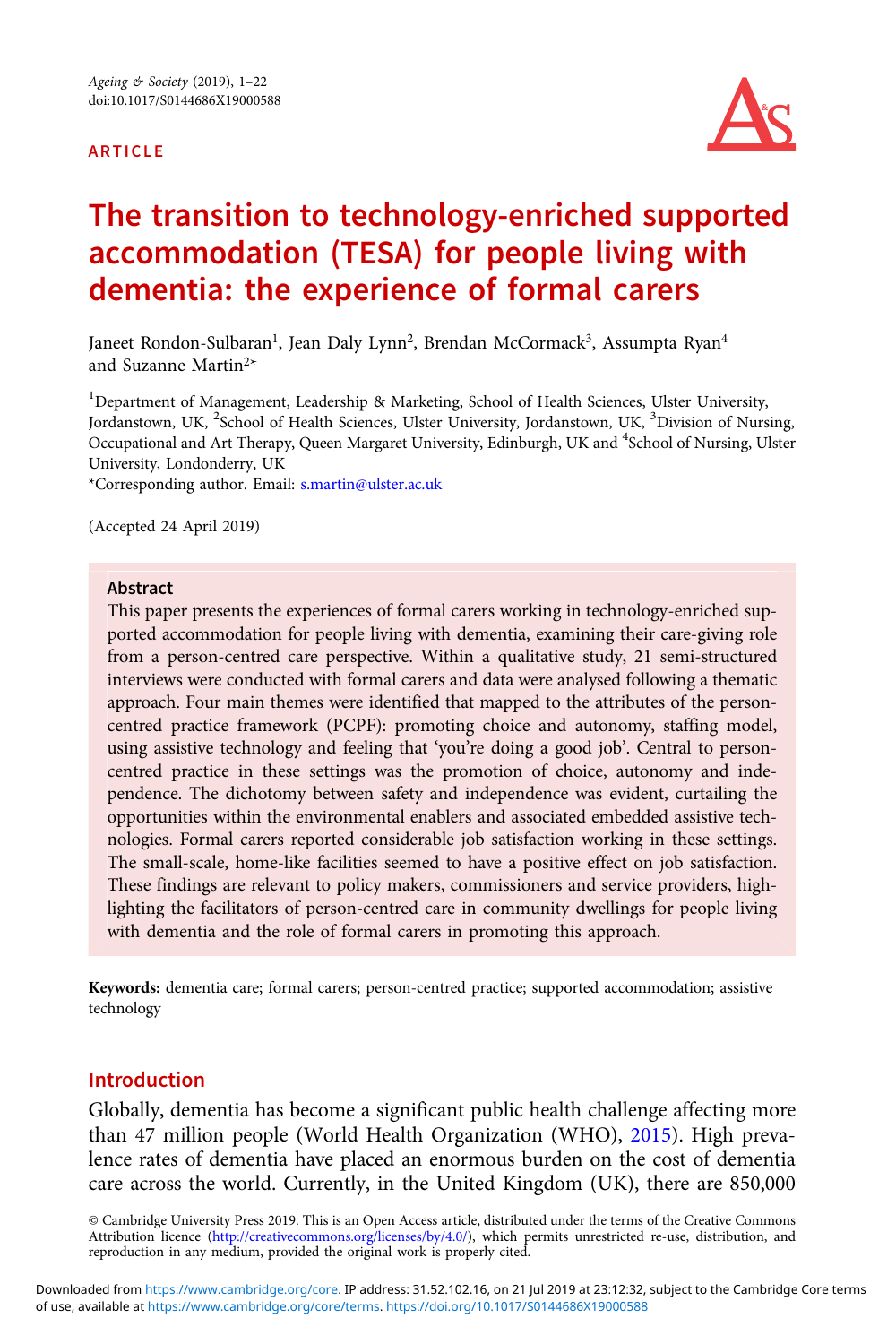#### ARTICLE



# The transition to technology-enriched supported accommodation (TESA) for people living with dementia: the experience of formal carers

Janeet Rondon-Sulbaran<sup>1</sup>, Jean Daly Lynn<sup>2</sup>, Brendan McCormack<sup>3</sup>, Assumpta Ryan<sup>4</sup> and Suzanne Martin2\*

<sup>1</sup>Department of Management, Leadership & Marketing, School of Health Sciences, Ulster University, Jordanstown, UK, <sup>2</sup>School of Health Sciences, Ulster University, Jordanstown, UK, <sup>3</sup>Division of Nursing, Occupational and Art Therapy, Queen Margaret University, Edinburgh, UK and <sup>4</sup>School of Nursing, Ulster University, Londonderry, UK

\*Corresponding author. Email: [s.martin@ulster.ac.uk](mailto:s.martin@ulster.ac.uk)

(Accepted 24 April 2019)

#### Abstract

This paper presents the experiences of formal carers working in technology-enriched supported accommodation for people living with dementia, examining their care-giving role from a person-centred care perspective. Within a qualitative study, 21 semi-structured interviews were conducted with formal carers and data were analysed following a thematic approach. Four main themes were identified that mapped to the attributes of the personcentred practice framework (PCPF): promoting choice and autonomy, staffing model, using assistive technology and feeling that 'you're doing a good job'. Central to personcentred practice in these settings was the promotion of choice, autonomy and independence. The dichotomy between safety and independence was evident, curtailing the opportunities within the environmental enablers and associated embedded assistive technologies. Formal carers reported considerable job satisfaction working in these settings. The small-scale, home-like facilities seemed to have a positive effect on job satisfaction. These findings are relevant to policy makers, commissioners and service providers, highlighting the facilitators of person-centred care in community dwellings for people living with dementia and the role of formal carers in promoting this approach.

Keywords: dementia care; formal carers; person-centred practice; supported accommodation; assistive technology

## Introduction

Globally, dementia has become a significant public health challenge affecting more than 47 million people (World Health Organization (WHO), [2015\)](#page-21-0). High prevalence rates of dementia have placed an enormous burden on the cost of dementia care across the world. Currently, in the United Kingdom (UK), there are 850,000

© Cambridge University Press 2019. This is an Open Access article, distributed under the terms of the Creative Commons Attribution licence [\(http://creativecommons.org/licenses/by/4.0/\)](http://creativecommons.org/licenses/by/4.0/), which permits unrestricted re-use, distribution, and reproduction in any medium, provided the original work is properly cited.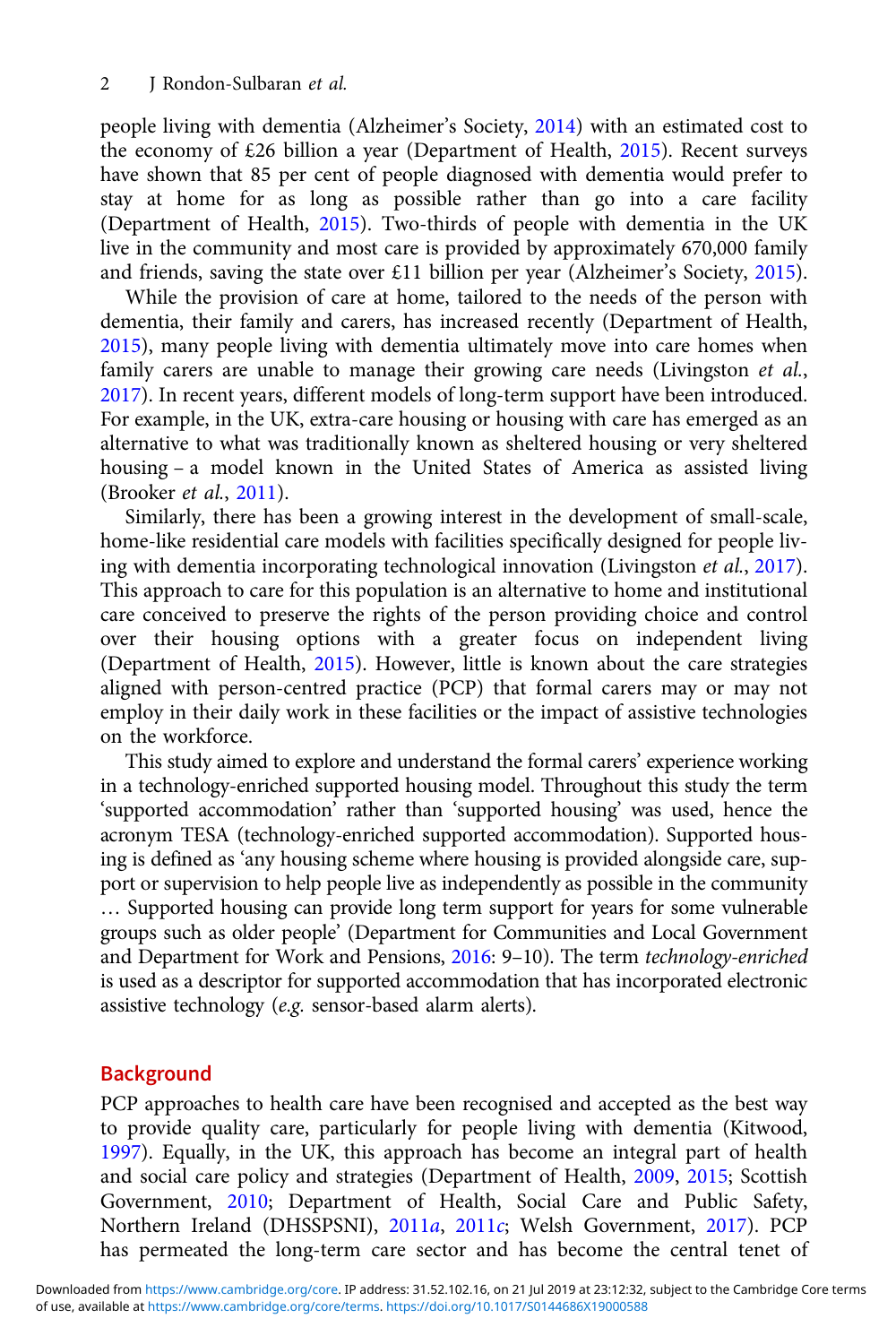people living with dementia (Alzheimer's Society, [2014\)](#page-20-0) with an estimated cost to the economy of £26 billion a year (Department of Health, [2015\)](#page-20-0). Recent surveys have shown that 85 per cent of people diagnosed with dementia would prefer to stay at home for as long as possible rather than go into a care facility (Department of Health, [2015](#page-20-0)). Two-thirds of people with dementia in the UK live in the community and most care is provided by approximately 670,000 family and friends, saving the state over £11 billion per year (Alzheimer's Society, [2015\)](#page-20-0).

While the provision of care at home, tailored to the needs of the person with dementia, their family and carers, has increased recently (Department of Health, [2015\)](#page-20-0), many people living with dementia ultimately move into care homes when family carers are unable to manage their growing care needs (Livingston et al., [2017\)](#page-20-0). In recent years, different models of long-term support have been introduced. For example, in the UK, extra-care housing or housing with care has emerged as an alternative to what was traditionally known as sheltered housing or very sheltered housing – a model known in the United States of America as assisted living (Brooker et al., [2011](#page-20-0)).

Similarly, there has been a growing interest in the development of small-scale, home-like residential care models with facilities specifically designed for people living with dementia incorporating technological innovation (Livingston et al., [2017\)](#page-20-0). This approach to care for this population is an alternative to home and institutional care conceived to preserve the rights of the person providing choice and control over their housing options with a greater focus on independent living (Department of Health, [2015\)](#page-20-0). However, little is known about the care strategies aligned with person-centred practice (PCP) that formal carers may or may not employ in their daily work in these facilities or the impact of assistive technologies on the workforce.

This study aimed to explore and understand the formal carers' experience working in a technology-enriched supported housing model. Throughout this study the term 'supported accommodation' rather than 'supported housing' was used, hence the acronym TESA (technology-enriched supported accommodation). Supported housing is defined as 'any housing scheme where housing is provided alongside care, support or supervision to help people live as independently as possible in the community … Supported housing can provide long term support for years for some vulnerable groups such as older people' (Department for Communities and Local Government and Department for Work and Pensions, [2016](#page-20-0): 9–10). The term technology-enriched is used as a descriptor for supported accommodation that has incorporated electronic assistive technology (e.g. sensor-based alarm alerts).

## **Background**

PCP approaches to health care have been recognised and accepted as the best way to provide quality care, particularly for people living with dementia (Kitwood, [1997\)](#page-20-0). Equally, in the UK, this approach has become an integral part of health and social care policy and strategies (Department of Health, [2009](#page-20-0), [2015](#page-20-0); Scottish Government, [2010;](#page-21-0) Department of Health, Social Care and Public Safety, Northern Ireland (DHSSPSNI), [2011](#page-20-0)a, [2011](#page-20-0)c; Welsh Government, [2017](#page-21-0)). PCP has permeated the long-term care sector and has become the central tenet of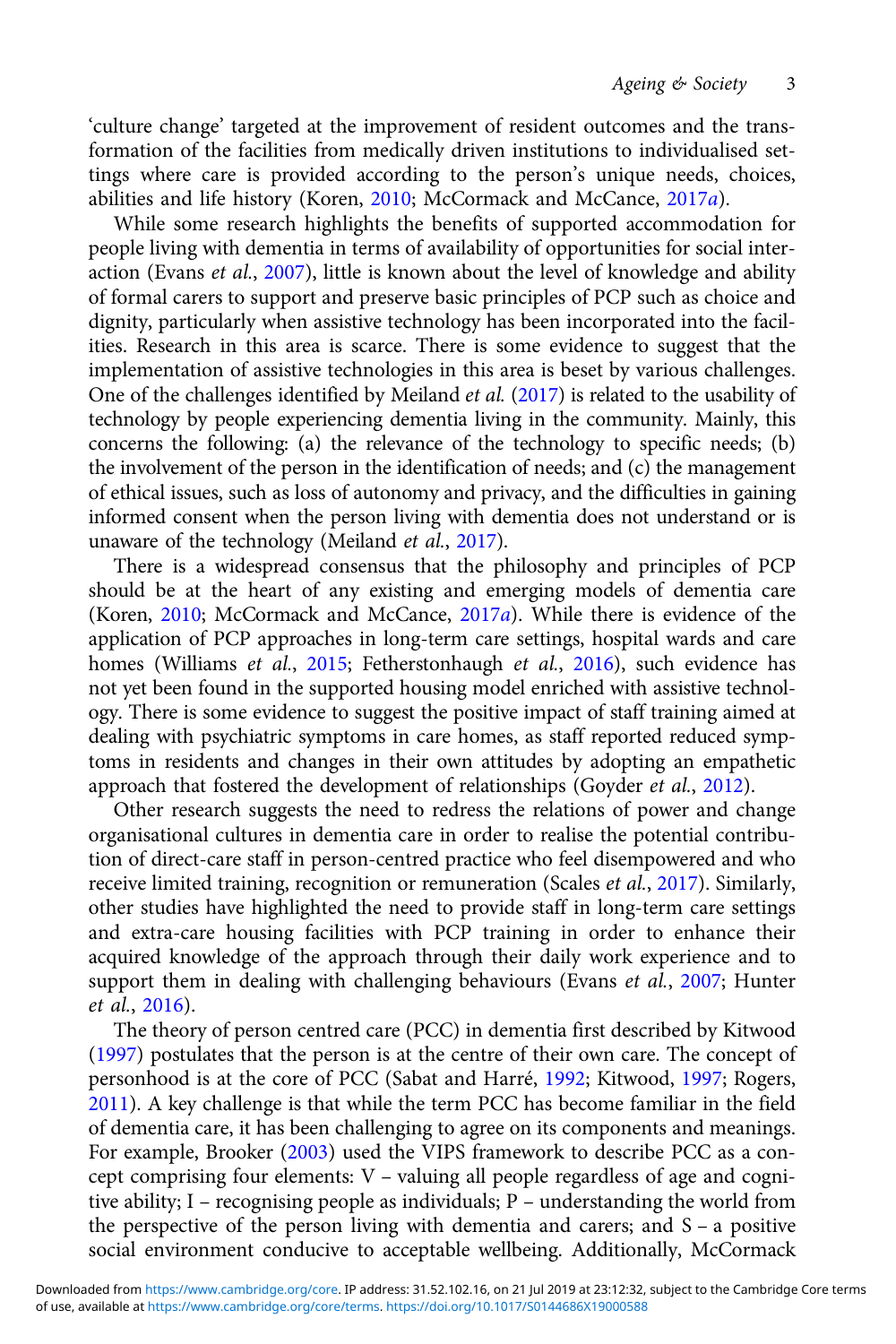'culture change' targeted at the improvement of resident outcomes and the transformation of the facilities from medically driven institutions to individualised settings where care is provided according to the person's unique needs, choices, abilities and life history (Koren, [2010;](#page-20-0) McCormack and McCance, [2017](#page-21-0)a).

While some research highlights the benefits of supported accommodation for people living with dementia in terms of availability of opportunities for social inter-action (Evans et al., [2007\)](#page-20-0), little is known about the level of knowledge and ability of formal carers to support and preserve basic principles of PCP such as choice and dignity, particularly when assistive technology has been incorporated into the facilities. Research in this area is scarce. There is some evidence to suggest that the implementation of assistive technologies in this area is beset by various challenges. One of the challenges identified by Meiland et al. [\(2017](#page-21-0)) is related to the usability of technology by people experiencing dementia living in the community. Mainly, this concerns the following: (a) the relevance of the technology to specific needs; (b) the involvement of the person in the identification of needs; and (c) the management of ethical issues, such as loss of autonomy and privacy, and the difficulties in gaining informed consent when the person living with dementia does not understand or is unaware of the technology (Meiland et al., [2017\)](#page-21-0).

There is a widespread consensus that the philosophy and principles of PCP should be at the heart of any existing and emerging models of dementia care (Koren, [2010;](#page-20-0) McCormack and McCance, [2017](#page-21-0)a). While there is evidence of the application of PCP approaches in long-term care settings, hospital wards and care homes (Williams et al., [2015](#page-21-0); Fetherstonhaugh et al., [2016](#page-20-0)), such evidence has not yet been found in the supported housing model enriched with assistive technology. There is some evidence to suggest the positive impact of staff training aimed at dealing with psychiatric symptoms in care homes, as staff reported reduced symptoms in residents and changes in their own attitudes by adopting an empathetic approach that fostered the development of relationships (Goyder et al., [2012\)](#page-20-0).

Other research suggests the need to redress the relations of power and change organisational cultures in dementia care in order to realise the potential contribution of direct-care staff in person-centred practice who feel disempowered and who receive limited training, recognition or remuneration (Scales et al., [2017\)](#page-21-0). Similarly, other studies have highlighted the need to provide staff in long-term care settings and extra-care housing facilities with PCP training in order to enhance their acquired knowledge of the approach through their daily work experience and to support them in dealing with challenging behaviours (Evans et al., [2007;](#page-20-0) Hunter et al., [2016](#page-20-0)).

The theory of person centred care (PCC) in dementia first described by Kitwood [\(1997\)](#page-20-0) postulates that the person is at the centre of their own care. The concept of personhood is at the core of PCC (Sabat and Harré, [1992;](#page-21-0) Kitwood, [1997](#page-20-0); Rogers, [2011](#page-21-0)). A key challenge is that while the term PCC has become familiar in the field of dementia care, it has been challenging to agree on its components and meanings. For example, Brooker [\(2003\)](#page-20-0) used the VIPS framework to describe PCC as a concept comprising four elements: V – valuing all people regardless of age and cognitive ability; I – recognising people as individuals; P – understanding the world from the perspective of the person living with dementia and carers; and S – a positive social environment conducive to acceptable wellbeing. Additionally, McCormack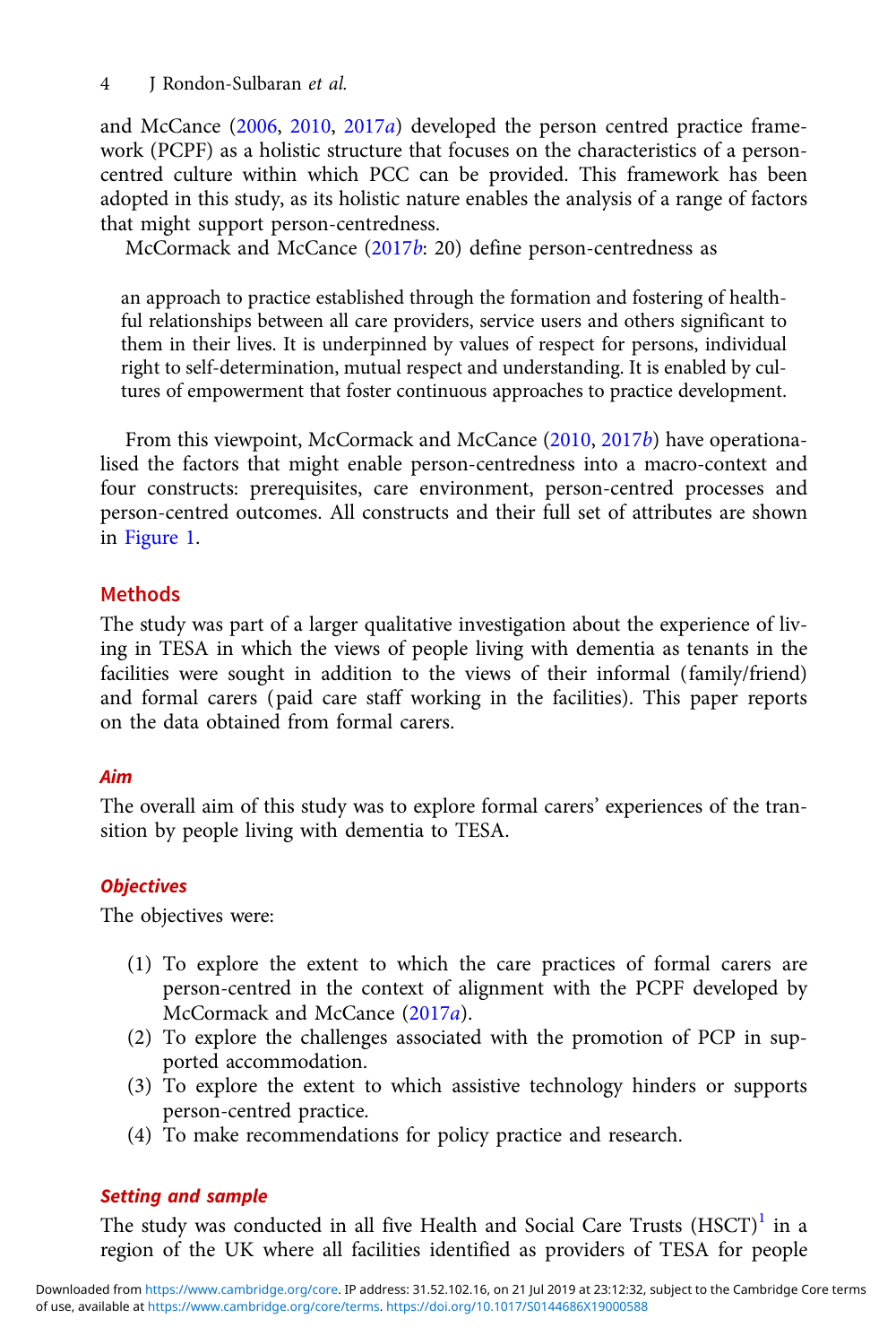and McCance ([2006](#page-21-0), [2010](#page-21-0), [2017](#page-21-0)a) developed the person centred practice framework (PCPF) as a holistic structure that focuses on the characteristics of a personcentred culture within which PCC can be provided. This framework has been adopted in this study, as its holistic nature enables the analysis of a range of factors that might support person-centredness.

McCormack and McCance ([2017](#page-21-0)b: 20) define person-centredness as

an approach to practice established through the formation and fostering of healthful relationships between all care providers, service users and others significant to them in their lives. It is underpinned by values of respect for persons, individual right to self-determination, mutual respect and understanding. It is enabled by cultures of empowerment that foster continuous approaches to practice development.

From this viewpoint, McCormack and McCance ([2010](#page-21-0), [2017](#page-21-0)b) have operationalised the factors that might enable person-centredness into a macro-context and four constructs: prerequisites, care environment, person-centred processes and person-centred outcomes. All constructs and their full set of attributes are shown in [Figure 1.](#page-4-0)

# Methods

The study was part of a larger qualitative investigation about the experience of living in TESA in which the views of people living with dementia as tenants in the facilities were sought in addition to the views of their informal (family/friend) and formal carers (paid care staff working in the facilities). This paper reports on the data obtained from formal carers.

# Aim

The overall aim of this study was to explore formal carers' experiences of the transition by people living with dementia to TESA.

# **Objectives**

The objectives were:

- (1) To explore the extent to which the care practices of formal carers are person-centred in the context of alignment with the PCPF developed by McCormack and McCance ([2017](#page-21-0)a).
- (2) To explore the challenges associated with the promotion of PCP in supported accommodation.
- (3) To explore the extent to which assistive technology hinders or supports person-centred practice.
- (4) To make recommendations for policy practice and research.

# Setting and sample

The study was conducted in all five Health and Social Care Trusts  $(HSCT)^1$  $(HSCT)^1$  in a region of the UK where all facilities identified as providers of TESA for people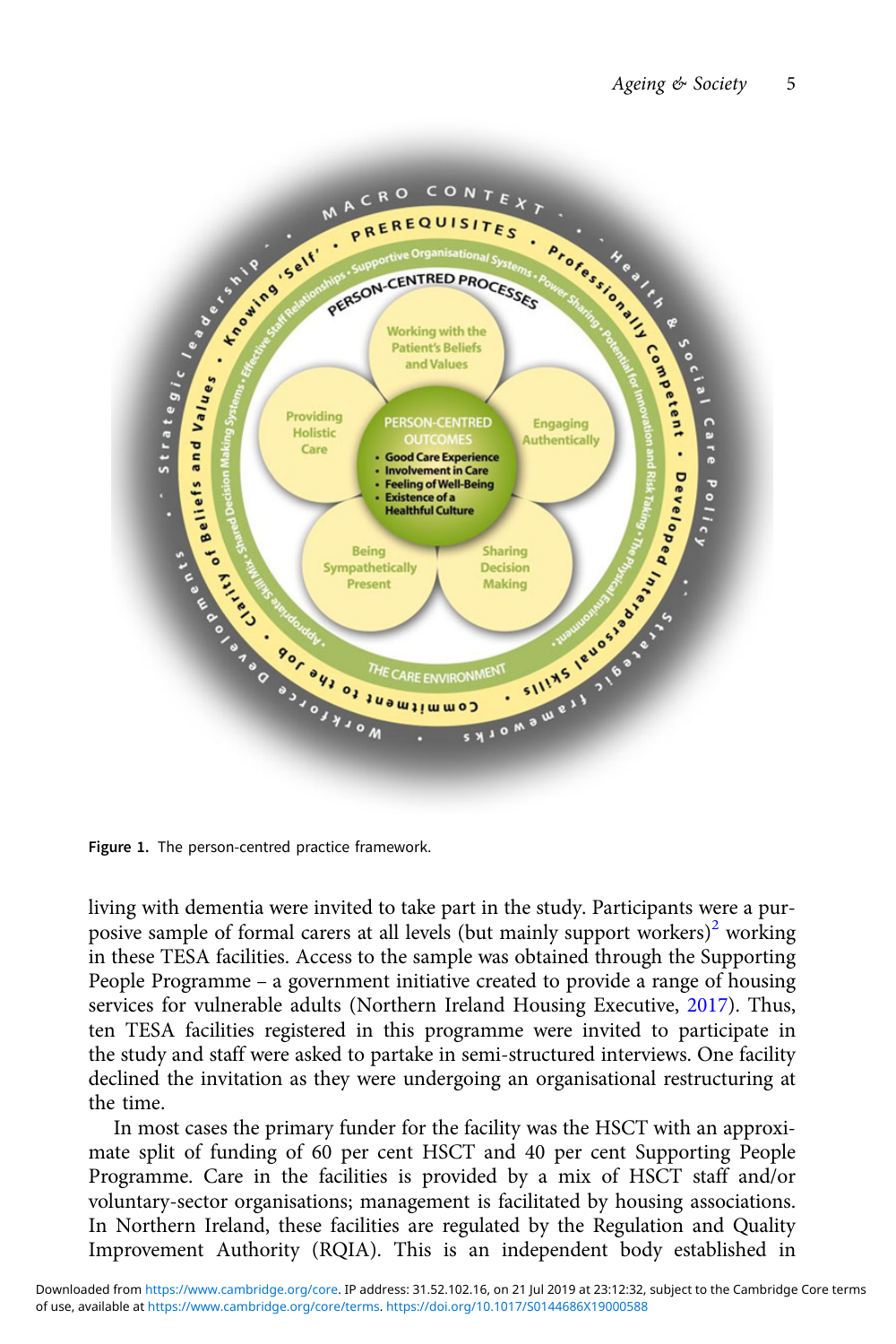<span id="page-4-0"></span>

living with dementia were invited to take part in the study. Participants were a pur-posive sample of formal carers at all levels (but mainly support workers)<sup>[2](#page-19-0)</sup> working in these TESA facilities. Access to the sample was obtained through the Supporting People Programme – a government initiative created to provide a range of housing services for vulnerable adults (Northern Ireland Housing Executive, [2017](#page-21-0)). Thus, ten TESA facilities registered in this programme were invited to participate in the study and staff were asked to partake in semi-structured interviews. One facility declined the invitation as they were undergoing an organisational restructuring at the time.

In most cases the primary funder for the facility was the HSCT with an approximate split of funding of 60 per cent HSCT and 40 per cent Supporting People Programme. Care in the facilities is provided by a mix of HSCT staff and/or voluntary-sector organisations; management is facilitated by housing associations. In Northern Ireland, these facilities are regulated by the Regulation and Quality Improvement Authority (RQIA). This is an independent body established in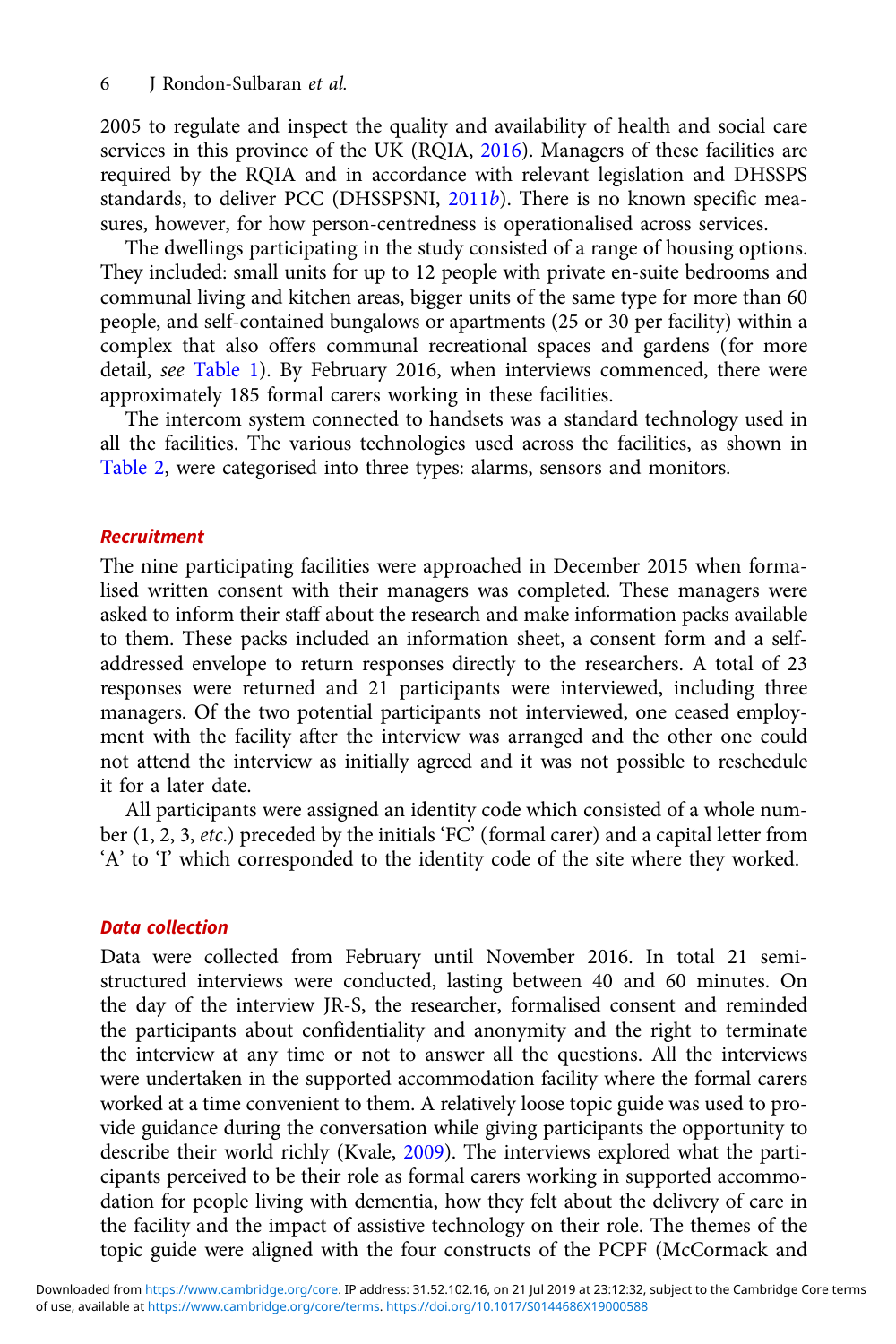2005 to regulate and inspect the quality and availability of health and social care services in this province of the UK (RQIA, [2016\)](#page-21-0). Managers of these facilities are required by the RQIA and in accordance with relevant legislation and DHSSPS standards, to deliver PCC (DHSSPSNI, [2011](#page-20-0)b). There is no known specific measures, however, for how person-centredness is operationalised across services.

The dwellings participating in the study consisted of a range of housing options. They included: small units for up to 12 people with private en-suite bedrooms and communal living and kitchen areas, bigger units of the same type for more than 60 people, and self-contained bungalows or apartments (25 or 30 per facility) within a complex that also offers communal recreational spaces and gardens (for more detail, see [Table 1\)](#page-6-0). By February 2016, when interviews commenced, there were approximately 185 formal carers working in these facilities.

The intercom system connected to handsets was a standard technology used in all the facilities. The various technologies used across the facilities, as shown in [Table 2](#page-6-0), were categorised into three types: alarms, sensors and monitors.

#### Recruitment

The nine participating facilities were approached in December 2015 when formalised written consent with their managers was completed. These managers were asked to inform their staff about the research and make information packs available to them. These packs included an information sheet, a consent form and a selfaddressed envelope to return responses directly to the researchers. A total of 23 responses were returned and 21 participants were interviewed, including three managers. Of the two potential participants not interviewed, one ceased employment with the facility after the interview was arranged and the other one could not attend the interview as initially agreed and it was not possible to reschedule it for a later date.

All participants were assigned an identity code which consisted of a whole number (1, 2, 3, etc.) preceded by the initials 'FC' (formal carer) and a capital letter from 'A' to 'I' which corresponded to the identity code of the site where they worked.

#### Data collection

Data were collected from February until November 2016. In total 21 semistructured interviews were conducted, lasting between 40 and 60 minutes. On the day of the interview JR-S, the researcher, formalised consent and reminded the participants about confidentiality and anonymity and the right to terminate the interview at any time or not to answer all the questions. All the interviews were undertaken in the supported accommodation facility where the formal carers worked at a time convenient to them. A relatively loose topic guide was used to provide guidance during the conversation while giving participants the opportunity to describe their world richly (Kvale, [2009\)](#page-20-0). The interviews explored what the participants perceived to be their role as formal carers working in supported accommodation for people living with dementia, how they felt about the delivery of care in the facility and the impact of assistive technology on their role. The themes of the topic guide were aligned with the four constructs of the PCPF (McCormack and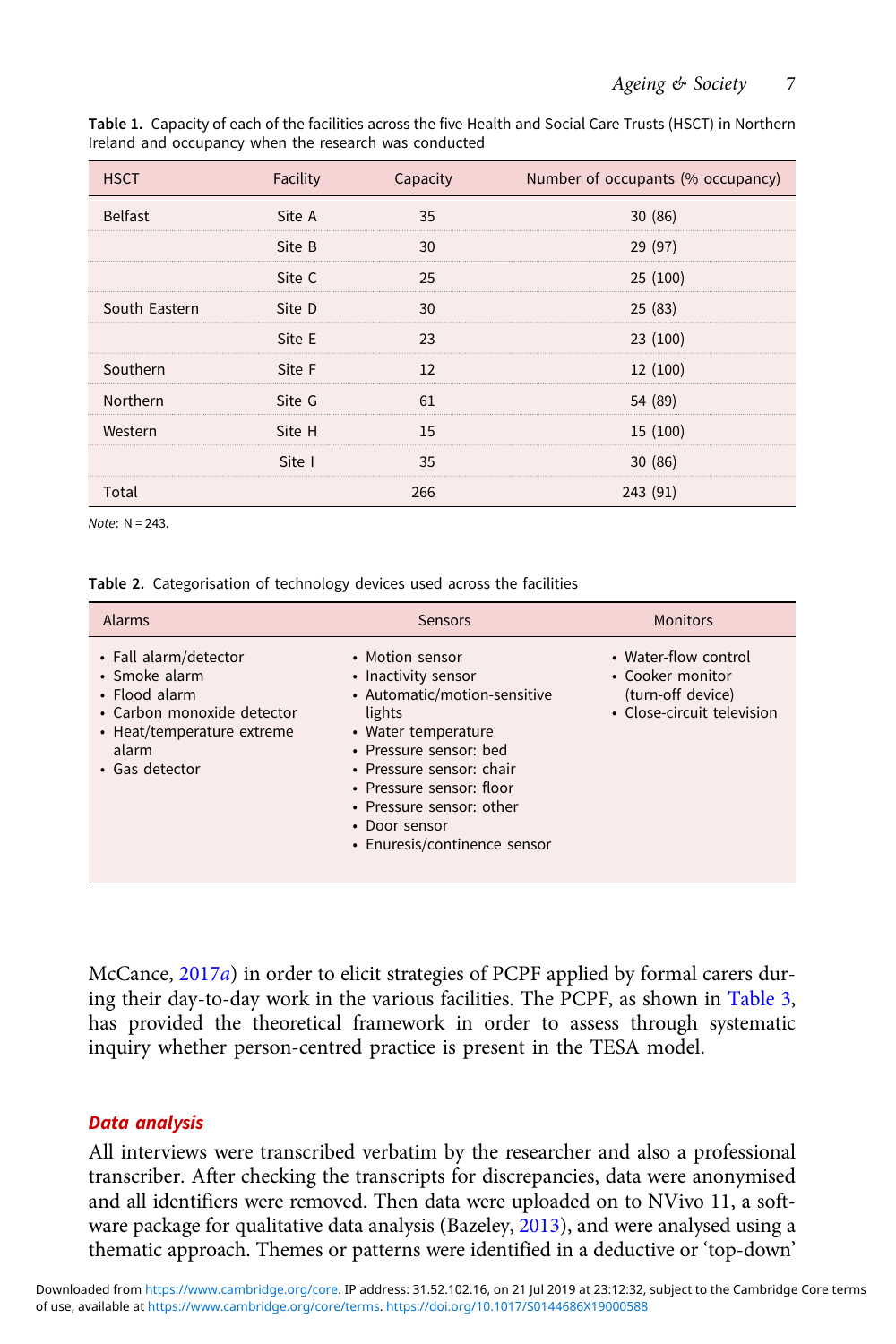| <b>HSCT</b>    | Facility | Capacity | Number of occupants (% occupancy) |
|----------------|----------|----------|-----------------------------------|
| <b>Belfast</b> | Site A   | 35       | 30(86)                            |
|                | Site B   | 30       | 29 (97)                           |
|                | Site C   | 25       | 25(100)                           |
| South Eastern  | Site D   | 30       | 25(83)                            |
|                | Site E   | 23       | 23(100)                           |
| Southern       | Site F   | 12       | 12 (100)                          |
| Northern       | Site G   | 61       | 54 (89)                           |
| Western        | Site H   | 15       | 15 (100)                          |
|                | Site I   | 35       | 30(86)                            |
| Total          |          | 266      | 243 (91)                          |

<span id="page-6-0"></span>Table 1. Capacity of each of the facilities across the five Health and Social Care Trusts (HSCT) in Northern Ireland and occupancy when the research was conducted

Note: N = 243.

Table 2. Categorisation of technology devices used across the facilities

| <b>Alarms</b>                                                                                                                                  | <b>Sensors</b>                                                                                                                                                                                                                                                         | <b>Monitors</b>                                                                             |
|------------------------------------------------------------------------------------------------------------------------------------------------|------------------------------------------------------------------------------------------------------------------------------------------------------------------------------------------------------------------------------------------------------------------------|---------------------------------------------------------------------------------------------|
| • Fall alarm/detector<br>• Smoke alarm<br>• Flood alarm<br>• Carbon monoxide detector<br>• Heat/temperature extreme<br>alarm<br>• Gas detector | • Motion sensor<br>• Inactivity sensor<br>• Automatic/motion-sensitive<br>lights<br>• Water temperature<br>• Pressure sensor: bed<br>• Pressure sensor: chair<br>• Pressure sensor: floor<br>• Pressure sensor: other<br>• Door sensor<br>• Enuresis/continence sensor | • Water-flow control<br>• Cooker monitor<br>(turn-off device)<br>• Close-circuit television |

McCance, [2017](#page-21-0)a) in order to elicit strategies of PCPF applied by formal carers during their day-to-day work in the various facilities. The PCPF, as shown in [Table 3](#page-7-0), has provided the theoretical framework in order to assess through systematic inquiry whether person-centred practice is present in the TESA model.

## Data analysis

All interviews were transcribed verbatim by the researcher and also a professional transcriber. After checking the transcripts for discrepancies, data were anonymised and all identifiers were removed. Then data were uploaded on to NVivo 11, a software package for qualitative data analysis (Bazeley, [2013](#page-20-0)), and were analysed using a thematic approach. Themes or patterns were identified in a deductive or 'top-down'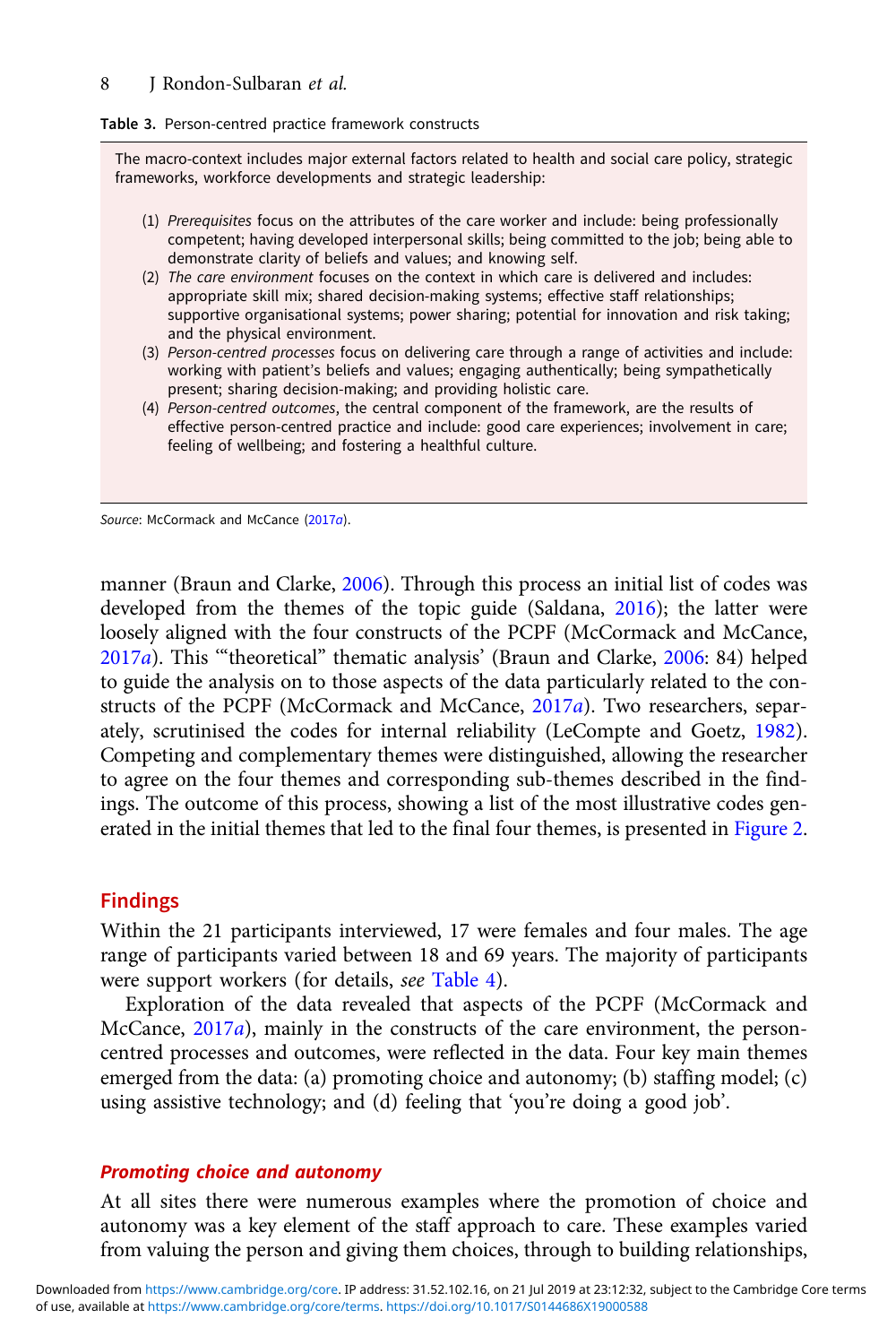#### <span id="page-7-0"></span>8 J Rondon-Sulbaran et al.

#### Table 3. Person-centred practice framework constructs

The macro-context includes major external factors related to health and social care policy, strategic frameworks, workforce developments and strategic leadership:

- (1) Prerequisites focus on the attributes of the care worker and include: being professionally competent; having developed interpersonal skills; being committed to the job; being able to demonstrate clarity of beliefs and values; and knowing self.
- (2) The care environment focuses on the context in which care is delivered and includes: appropriate skill mix; shared decision-making systems; effective staff relationships; supportive organisational systems; power sharing; potential for innovation and risk taking; and the physical environment.
- (3) Person-centred processes focus on delivering care through a range of activities and include: working with patient's beliefs and values; engaging authentically; being sympathetically present; sharing decision-making; and providing holistic care.
- (4) Person-centred outcomes, the central component of the framework, are the results of effective person-centred practice and include: good care experiences; involvement in care; feeling of wellbeing; and fostering a healthful culture.

Source: McCormack and McCance [\(2017](#page-21-0)a).

manner (Braun and Clarke, [2006](#page-20-0)). Through this process an initial list of codes was developed from the themes of the topic guide (Saldana, [2016](#page-21-0)); the latter were loosely aligned with the four constructs of the PCPF (McCormack and McCance, [2017](#page-21-0)a). This '"theoretical" thematic analysis' (Braun and Clarke, [2006:](#page-20-0) 84) helped to guide the analysis on to those aspects of the data particularly related to the constructs of the PCPF (McCormack and McCance, [2017](#page-21-0)a). Two researchers, separately, scrutinised the codes for internal reliability (LeCompte and Goetz, [1982\)](#page-20-0). Competing and complementary themes were distinguished, allowing the researcher to agree on the four themes and corresponding sub-themes described in the findings. The outcome of this process, showing a list of the most illustrative codes generated in the initial themes that led to the final four themes, is presented in [Figure 2](#page-8-0).

## Findings

Within the 21 participants interviewed, 17 were females and four males. The age range of participants varied between 18 and 69 years. The majority of participants were support workers (for details, see [Table 4](#page-9-0)).

Exploration of the data revealed that aspects of the PCPF (McCormack and McCance, [2017](#page-21-0)a), mainly in the constructs of the care environment, the personcentred processes and outcomes, were reflected in the data. Four key main themes emerged from the data: (a) promoting choice and autonomy; (b) staffing model; (c) using assistive technology; and (d) feeling that 'you're doing a good job'.

## Promoting choice and autonomy

At all sites there were numerous examples where the promotion of choice and autonomy was a key element of the staff approach to care. These examples varied from valuing the person and giving them choices, through to building relationships,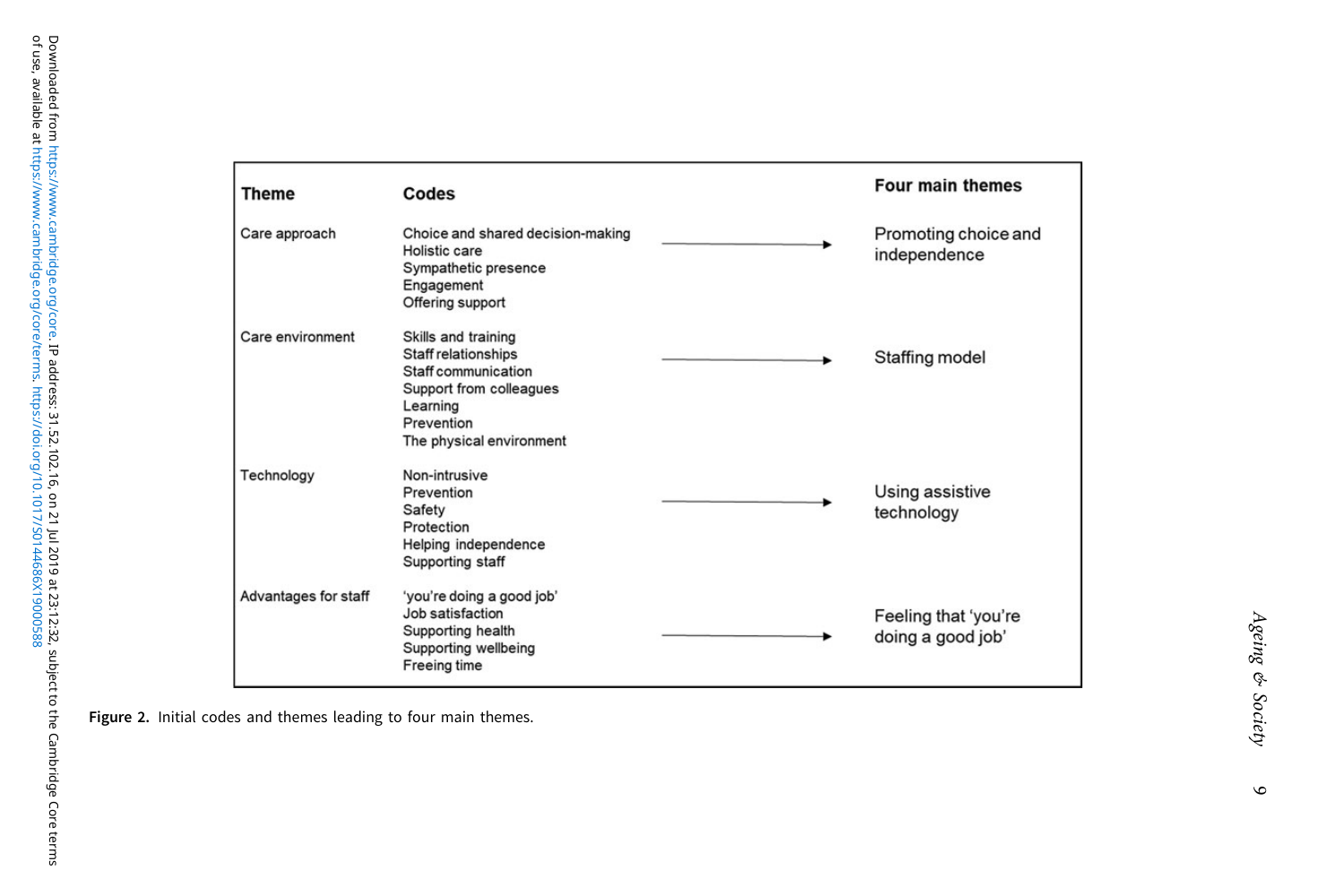<span id="page-8-0"></span>

| <b>Theme</b>         | Codes                                                                                                                                              | <b>Four main themes</b>                   |
|----------------------|----------------------------------------------------------------------------------------------------------------------------------------------------|-------------------------------------------|
| Care approach        | Choice and shared decision-making<br>Holistic care<br>Sympathetic presence<br>Engagement<br>Offering support                                       | Promoting choice and<br>independence      |
| Care environment     | Skills and training<br>Staff relationships<br>Staff communication<br>Support from colleagues<br>Learning<br>Prevention<br>The physical environment | Staffing model                            |
| Technology           | Non-intrusive<br>Prevention<br>Safety<br>Protection<br>Helping independence<br>Supporting staff                                                    | Using assistive<br>technology             |
| Advantages for staff | 'you're doing a good job'<br>Job satisfaction<br>Supporting health<br>Supporting wellbeing<br><b>Freeing time</b>                                  | Feeling that 'you're<br>doing a good job' |

Figure 2. Initial codes and themes leading to four main themes.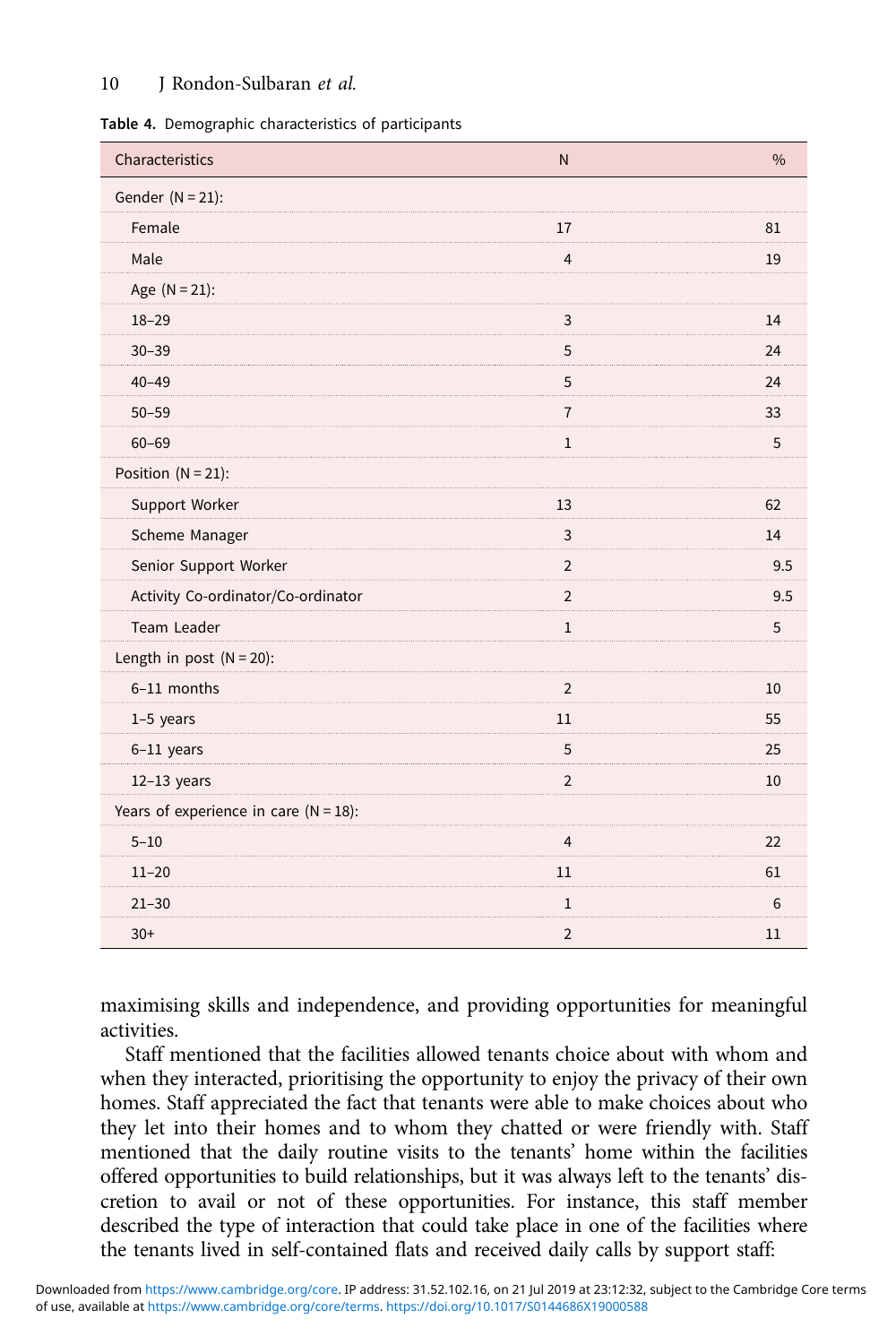## <span id="page-9-0"></span>10 J Rondon-Sulbaran et al.

| Characteristics                          | $\mathsf{N}$   | $\frac{0}{0}$ |
|------------------------------------------|----------------|---------------|
| Gender $(N = 21)$ :                      |                |               |
| Female                                   | 17             | 81            |
| Male                                     | $\overline{4}$ | 19            |
| Age $(N = 21)$ :                         |                |               |
| $18 - 29$                                | 3              | 14            |
| $30 - 39$                                | 5              | 24            |
| $40 - 49$                                | 5              | 24            |
| $50 - 59$                                | $\overline{7}$ | 33            |
| $60 - 69$                                | $\mathbf 1$    | 5             |
| Position $(N = 21)$ :                    |                |               |
| Support Worker                           | 13             | 62            |
| Scheme Manager                           | $\overline{3}$ | 14            |
| Senior Support Worker                    | $\overline{2}$ | 9.5           |
| Activity Co-ordinator/Co-ordinator       | $\overline{2}$ | 9.5           |
| Team Leader                              | $\mathbf 1$    | 5             |
| Length in post $(N = 20)$ :              |                |               |
| 6-11 months                              | $\overline{2}$ | 10            |
| $1-5$ years                              | 11             | 55            |
| 6-11 years                               | 5              | 25            |
| $12-13$ years                            | $\overline{2}$ | 10            |
| Years of experience in care $(N = 18)$ : |                |               |
| $5 - 10$                                 | $\overline{4}$ | 22            |
| $11 - 20$                                | 11             | 61            |
| $21 - 30$                                | $\mathbf{1}$   | 6             |
| $30+$                                    | $\overline{2}$ | 11            |

maximising skills and independence, and providing opportunities for meaningful activities.

Staff mentioned that the facilities allowed tenants choice about with whom and when they interacted, prioritising the opportunity to enjoy the privacy of their own homes. Staff appreciated the fact that tenants were able to make choices about who they let into their homes and to whom they chatted or were friendly with. Staff mentioned that the daily routine visits to the tenants' home within the facilities offered opportunities to build relationships, but it was always left to the tenants' discretion to avail or not of these opportunities. For instance, this staff member described the type of interaction that could take place in one of the facilities where the tenants lived in self-contained flats and received daily calls by support staff: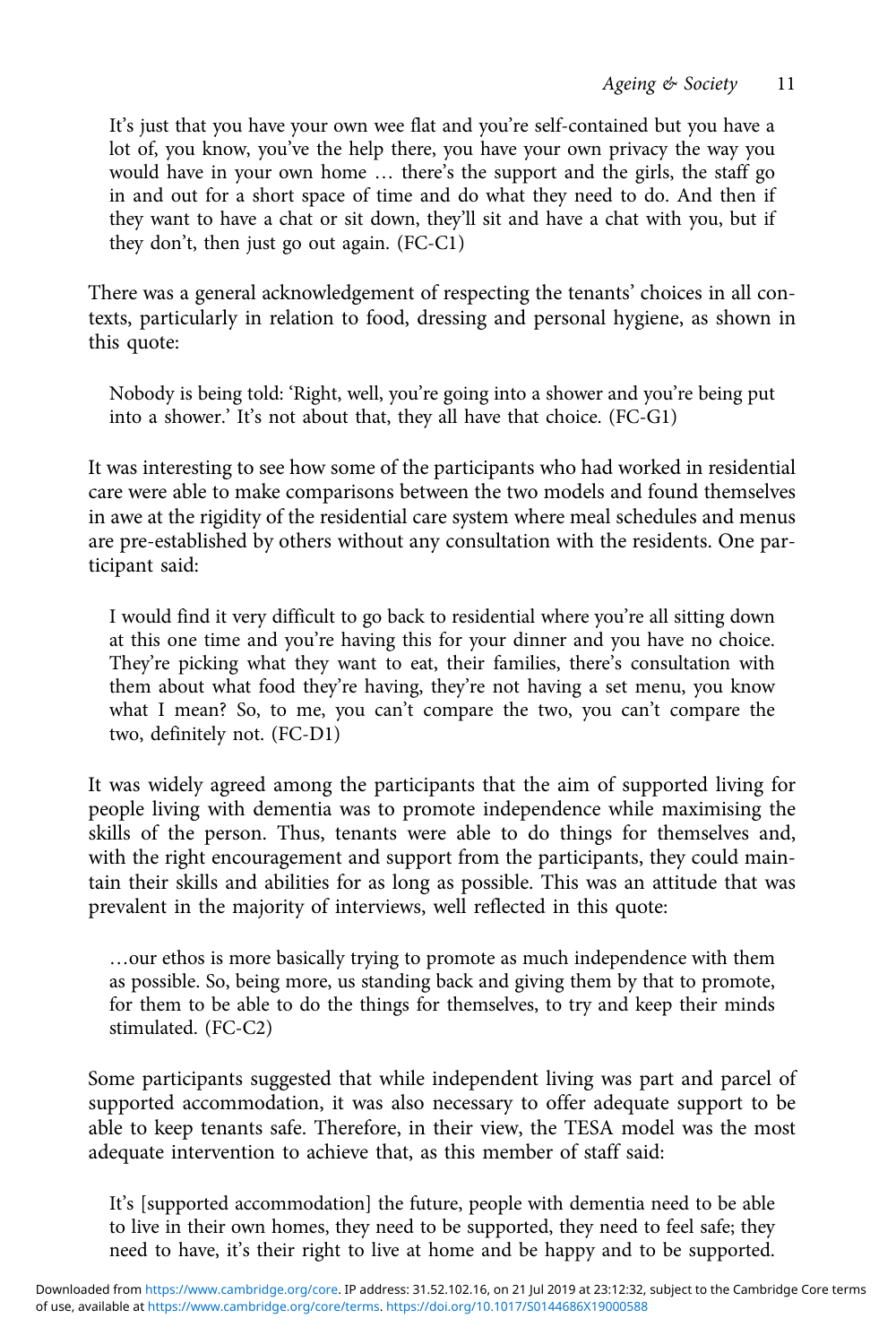It's just that you have your own wee flat and you're self-contained but you have a lot of, you know, you've the help there, you have your own privacy the way you would have in your own home … there's the support and the girls, the staff go in and out for a short space of time and do what they need to do. And then if they want to have a chat or sit down, they'll sit and have a chat with you, but if they don't, then just go out again. (FC-C1)

There was a general acknowledgement of respecting the tenants' choices in all contexts, particularly in relation to food, dressing and personal hygiene, as shown in this quote:

Nobody is being told: 'Right, well, you're going into a shower and you're being put into a shower.' It's not about that, they all have that choice. (FC-G1)

It was interesting to see how some of the participants who had worked in residential care were able to make comparisons between the two models and found themselves in awe at the rigidity of the residential care system where meal schedules and menus are pre-established by others without any consultation with the residents. One participant said:

I would find it very difficult to go back to residential where you're all sitting down at this one time and you're having this for your dinner and you have no choice. They're picking what they want to eat, their families, there's consultation with them about what food they're having, they're not having a set menu, you know what I mean? So, to me, you can't compare the two, you can't compare the two, definitely not. (FC-D1)

It was widely agreed among the participants that the aim of supported living for people living with dementia was to promote independence while maximising the skills of the person. Thus, tenants were able to do things for themselves and, with the right encouragement and support from the participants, they could maintain their skills and abilities for as long as possible. This was an attitude that was prevalent in the majority of interviews, well reflected in this quote:

…our ethos is more basically trying to promote as much independence with them as possible. So, being more, us standing back and giving them by that to promote, for them to be able to do the things for themselves, to try and keep their minds stimulated. (FC-C2)

Some participants suggested that while independent living was part and parcel of supported accommodation, it was also necessary to offer adequate support to be able to keep tenants safe. Therefore, in their view, the TESA model was the most adequate intervention to achieve that, as this member of staff said:

It's [supported accommodation] the future, people with dementia need to be able to live in their own homes, they need to be supported, they need to feel safe; they need to have, it's their right to live at home and be happy and to be supported.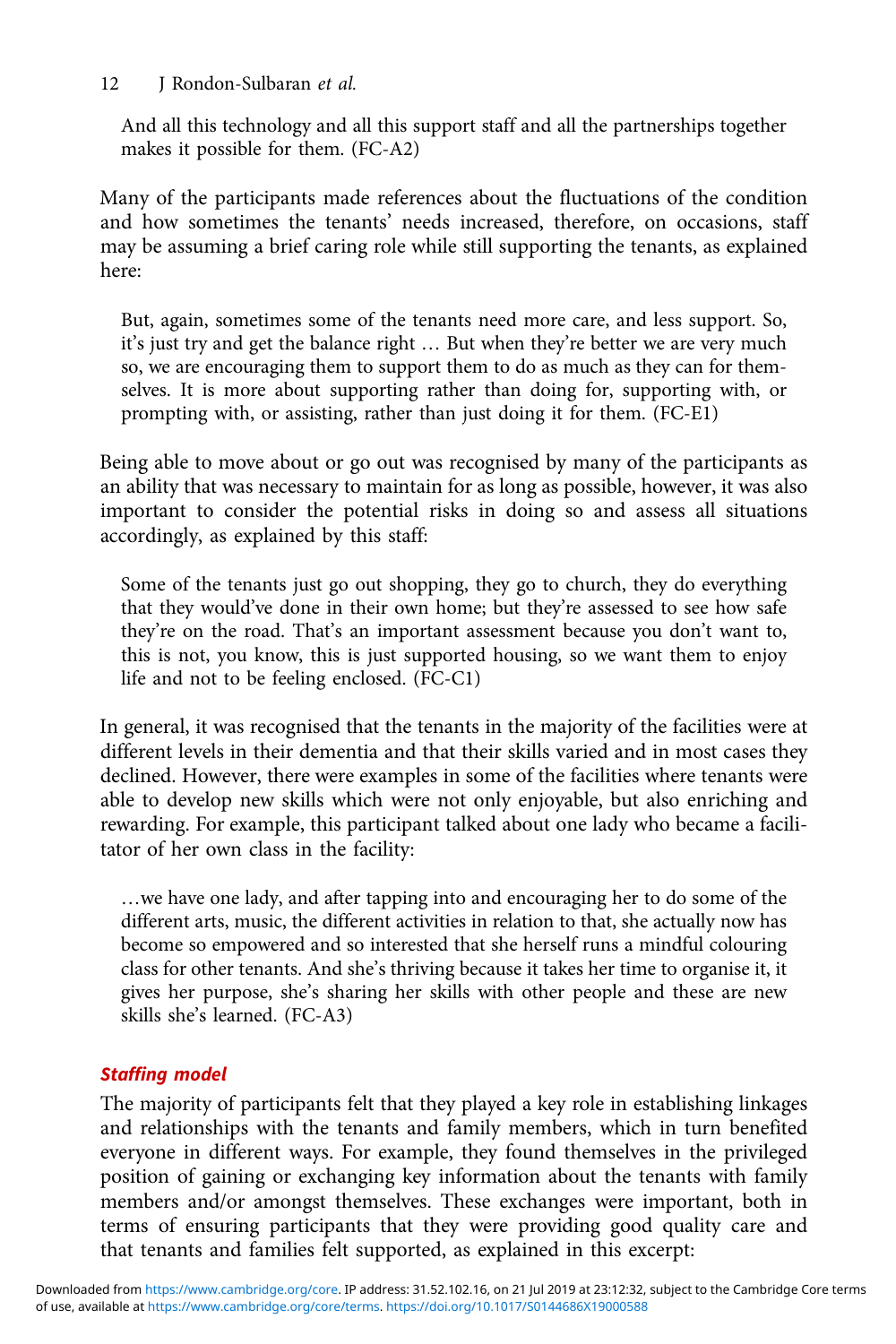## 12 J Rondon-Sulbaran et al.

And all this technology and all this support staff and all the partnerships together makes it possible for them. (FC-A2)

Many of the participants made references about the fluctuations of the condition and how sometimes the tenants' needs increased, therefore, on occasions, staff may be assuming a brief caring role while still supporting the tenants, as explained here:

But, again, sometimes some of the tenants need more care, and less support. So, it's just try and get the balance right … But when they're better we are very much so, we are encouraging them to support them to do as much as they can for themselves. It is more about supporting rather than doing for, supporting with, or prompting with, or assisting, rather than just doing it for them. (FC-E1)

Being able to move about or go out was recognised by many of the participants as an ability that was necessary to maintain for as long as possible, however, it was also important to consider the potential risks in doing so and assess all situations accordingly, as explained by this staff:

Some of the tenants just go out shopping, they go to church, they do everything that they would've done in their own home; but they're assessed to see how safe they're on the road. That's an important assessment because you don't want to, this is not, you know, this is just supported housing, so we want them to enjoy life and not to be feeling enclosed. (FC-C1)

In general, it was recognised that the tenants in the majority of the facilities were at different levels in their dementia and that their skills varied and in most cases they declined. However, there were examples in some of the facilities where tenants were able to develop new skills which were not only enjoyable, but also enriching and rewarding. For example, this participant talked about one lady who became a facilitator of her own class in the facility:

…we have one lady, and after tapping into and encouraging her to do some of the different arts, music, the different activities in relation to that, she actually now has become so empowered and so interested that she herself runs a mindful colouring class for other tenants. And she's thriving because it takes her time to organise it, it gives her purpose, she's sharing her skills with other people and these are new skills she's learned. (FC-A3)

# Staffing model

The majority of participants felt that they played a key role in establishing linkages and relationships with the tenants and family members, which in turn benefited everyone in different ways. For example, they found themselves in the privileged position of gaining or exchanging key information about the tenants with family members and/or amongst themselves. These exchanges were important, both in terms of ensuring participants that they were providing good quality care and that tenants and families felt supported, as explained in this excerpt: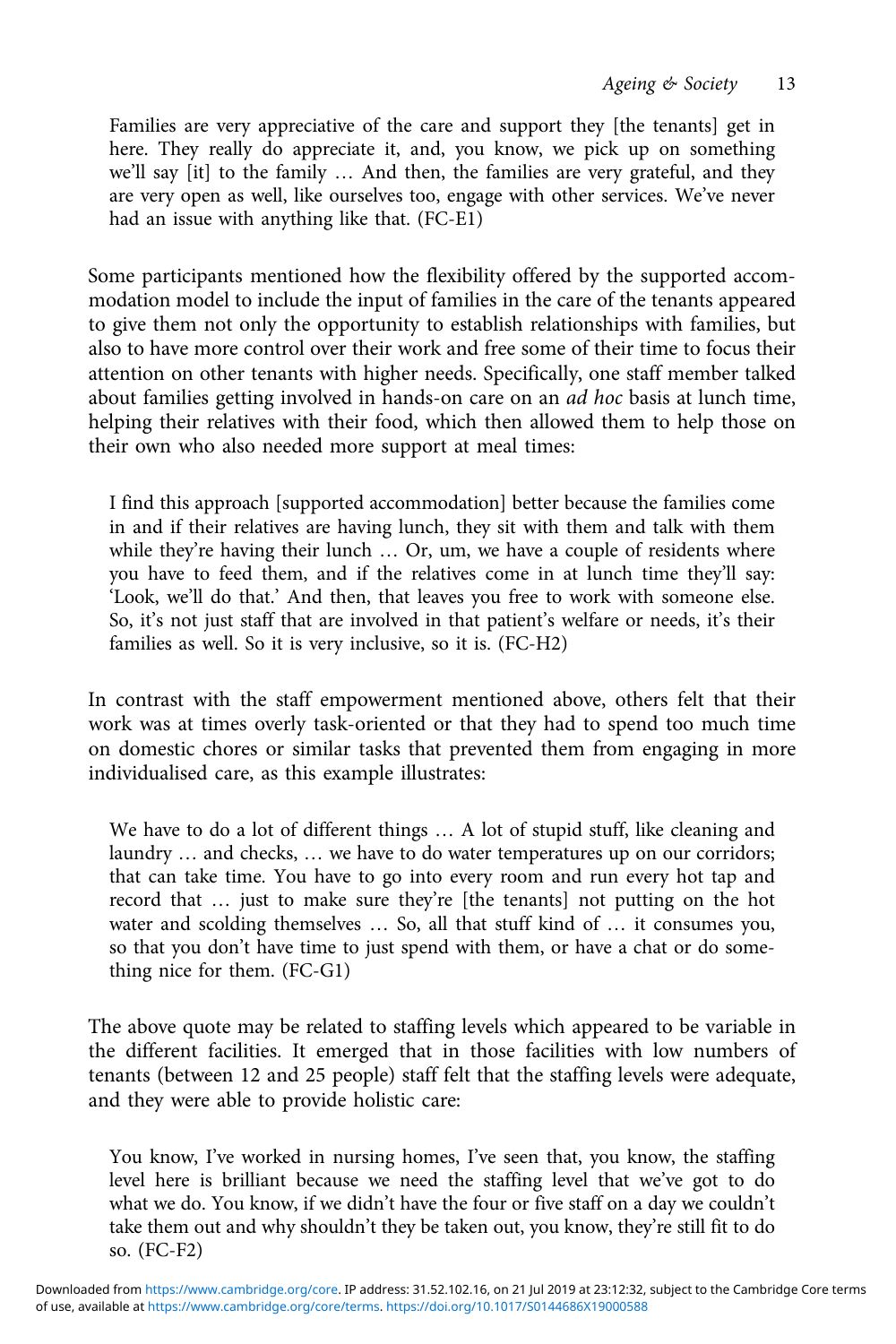Families are very appreciative of the care and support they [the tenants] get in here. They really do appreciate it, and, you know, we pick up on something we'll say [it] to the family … And then, the families are very grateful, and they are very open as well, like ourselves too, engage with other services. We've never had an issue with anything like that. (FC-E1)

Some participants mentioned how the flexibility offered by the supported accommodation model to include the input of families in the care of the tenants appeared to give them not only the opportunity to establish relationships with families, but also to have more control over their work and free some of their time to focus their attention on other tenants with higher needs. Specifically, one staff member talked about families getting involved in hands-on care on an ad hoc basis at lunch time, helping their relatives with their food, which then allowed them to help those on their own who also needed more support at meal times:

I find this approach [supported accommodation] better because the families come in and if their relatives are having lunch, they sit with them and talk with them while they're having their lunch ... Or, um, we have a couple of residents where you have to feed them, and if the relatives come in at lunch time they'll say: 'Look, we'll do that.' And then, that leaves you free to work with someone else. So, it's not just staff that are involved in that patient's welfare or needs, it's their families as well. So it is very inclusive, so it is. (FC-H2)

In contrast with the staff empowerment mentioned above, others felt that their work was at times overly task-oriented or that they had to spend too much time on domestic chores or similar tasks that prevented them from engaging in more individualised care, as this example illustrates:

We have to do a lot of different things … A lot of stupid stuff, like cleaning and laundry … and checks, … we have to do water temperatures up on our corridors; that can take time. You have to go into every room and run every hot tap and record that … just to make sure they're [the tenants] not putting on the hot water and scolding themselves … So, all that stuff kind of … it consumes you, so that you don't have time to just spend with them, or have a chat or do something nice for them. (FC-G1)

The above quote may be related to staffing levels which appeared to be variable in the different facilities. It emerged that in those facilities with low numbers of tenants (between 12 and 25 people) staff felt that the staffing levels were adequate, and they were able to provide holistic care:

You know, I've worked in nursing homes, I've seen that, you know, the staffing level here is brilliant because we need the staffing level that we've got to do what we do. You know, if we didn't have the four or five staff on a day we couldn't take them out and why shouldn't they be taken out, you know, they're still fit to do so. (FC-F2)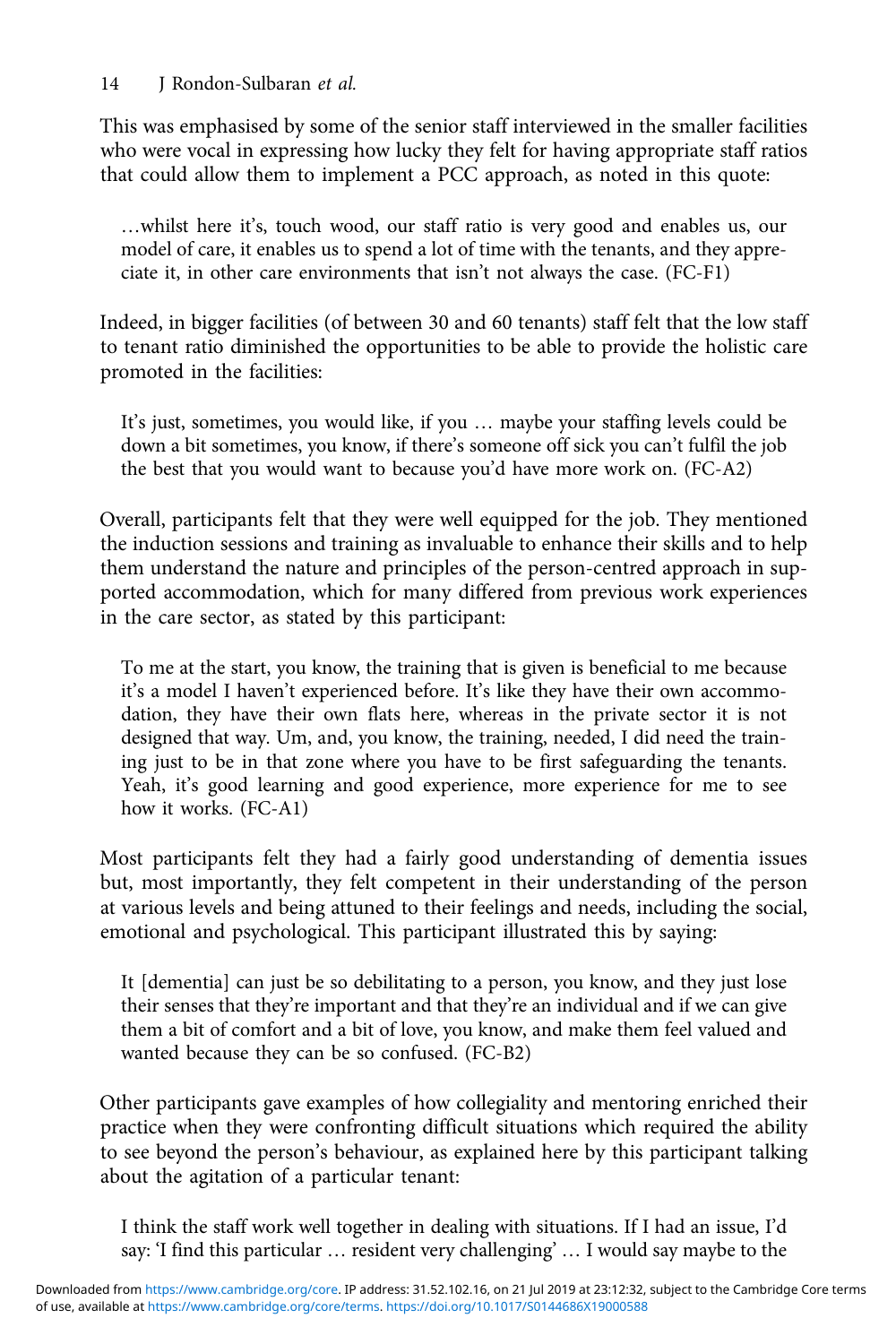This was emphasised by some of the senior staff interviewed in the smaller facilities who were vocal in expressing how lucky they felt for having appropriate staff ratios that could allow them to implement a PCC approach, as noted in this quote:

…whilst here it's, touch wood, our staff ratio is very good and enables us, our model of care, it enables us to spend a lot of time with the tenants, and they appreciate it, in other care environments that isn't not always the case. (FC-F1)

Indeed, in bigger facilities (of between 30 and 60 tenants) staff felt that the low staff to tenant ratio diminished the opportunities to be able to provide the holistic care promoted in the facilities:

It's just, sometimes, you would like, if you … maybe your staffing levels could be down a bit sometimes, you know, if there's someone off sick you can't fulfil the job the best that you would want to because you'd have more work on. (FC-A2)

Overall, participants felt that they were well equipped for the job. They mentioned the induction sessions and training as invaluable to enhance their skills and to help them understand the nature and principles of the person-centred approach in supported accommodation, which for many differed from previous work experiences in the care sector, as stated by this participant:

To me at the start, you know, the training that is given is beneficial to me because it's a model I haven't experienced before. It's like they have their own accommodation, they have their own flats here, whereas in the private sector it is not designed that way. Um, and, you know, the training, needed, I did need the training just to be in that zone where you have to be first safeguarding the tenants. Yeah, it's good learning and good experience, more experience for me to see how it works. (FC-A1)

Most participants felt they had a fairly good understanding of dementia issues but, most importantly, they felt competent in their understanding of the person at various levels and being attuned to their feelings and needs, including the social, emotional and psychological. This participant illustrated this by saying:

It [dementia] can just be so debilitating to a person, you know, and they just lose their senses that they're important and that they're an individual and if we can give them a bit of comfort and a bit of love, you know, and make them feel valued and wanted because they can be so confused. (FC-B2)

Other participants gave examples of how collegiality and mentoring enriched their practice when they were confronting difficult situations which required the ability to see beyond the person's behaviour, as explained here by this participant talking about the agitation of a particular tenant:

I think the staff work well together in dealing with situations. If I had an issue, I'd say: 'I find this particular … resident very challenging' … I would say maybe to the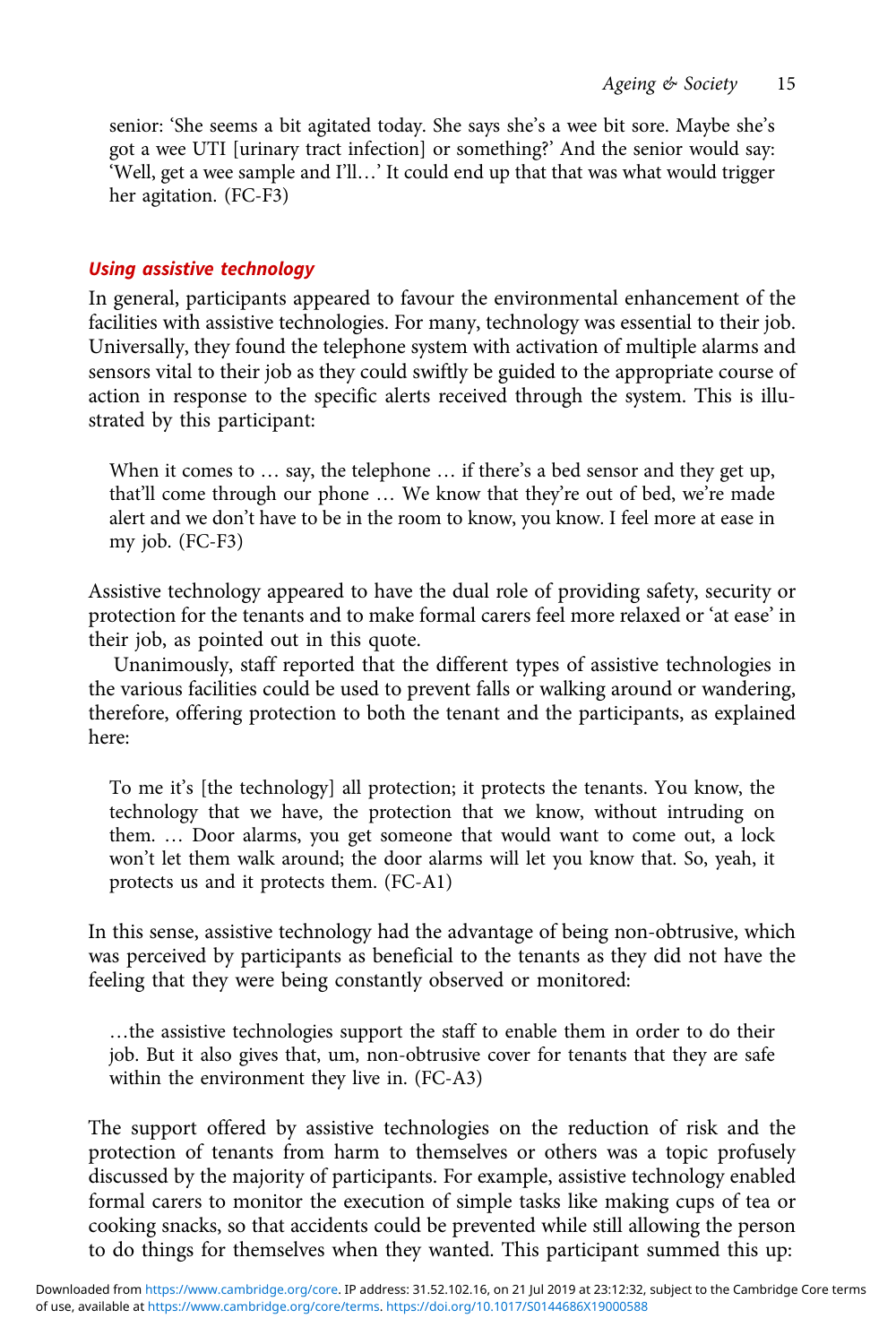senior: 'She seems a bit agitated today. She says she's a wee bit sore. Maybe she's got a wee UTI [urinary tract infection] or something?' And the senior would say: 'Well, get a wee sample and I'll…' It could end up that that was what would trigger her agitation. (FC-F3)

## Using assistive technology

In general, participants appeared to favour the environmental enhancement of the facilities with assistive technologies. For many, technology was essential to their job. Universally, they found the telephone system with activation of multiple alarms and sensors vital to their job as they could swiftly be guided to the appropriate course of action in response to the specific alerts received through the system. This is illustrated by this participant:

When it comes to ... say, the telephone ... if there's a bed sensor and they get up, that'll come through our phone … We know that they're out of bed, we're made alert and we don't have to be in the room to know, you know. I feel more at ease in my job. (FC-F3)

Assistive technology appeared to have the dual role of providing safety, security or protection for the tenants and to make formal carers feel more relaxed or 'at ease' in their job, as pointed out in this quote.

Unanimously, staff reported that the different types of assistive technologies in the various facilities could be used to prevent falls or walking around or wandering, therefore, offering protection to both the tenant and the participants, as explained here:

To me it's [the technology] all protection; it protects the tenants. You know, the technology that we have, the protection that we know, without intruding on them. … Door alarms, you get someone that would want to come out, a lock won't let them walk around; the door alarms will let you know that. So, yeah, it protects us and it protects them. (FC-A1)

In this sense, assistive technology had the advantage of being non-obtrusive, which was perceived by participants as beneficial to the tenants as they did not have the feeling that they were being constantly observed or monitored:

…the assistive technologies support the staff to enable them in order to do their job. But it also gives that, um, non-obtrusive cover for tenants that they are safe within the environment they live in. (FC-A3)

The support offered by assistive technologies on the reduction of risk and the protection of tenants from harm to themselves or others was a topic profusely discussed by the majority of participants. For example, assistive technology enabled formal carers to monitor the execution of simple tasks like making cups of tea or cooking snacks, so that accidents could be prevented while still allowing the person to do things for themselves when they wanted. This participant summed this up: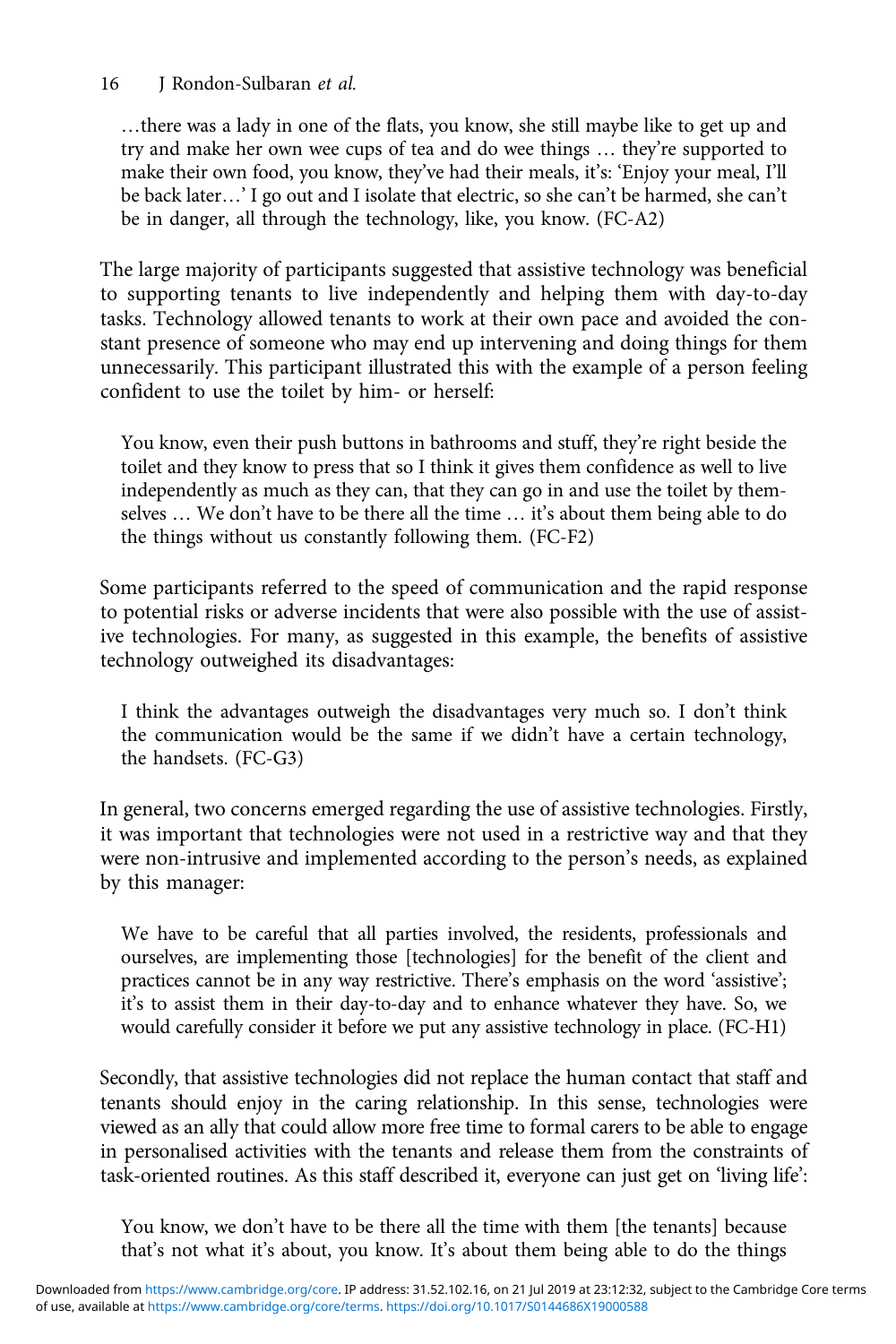…there was a lady in one of the flats, you know, she still maybe like to get up and try and make her own wee cups of tea and do wee things … they're supported to make their own food, you know, they've had their meals, it's: 'Enjoy your meal, I'll be back later…' I go out and I isolate that electric, so she can't be harmed, she can't be in danger, all through the technology, like, you know. (FC-A2)

The large majority of participants suggested that assistive technology was beneficial to supporting tenants to live independently and helping them with day-to-day tasks. Technology allowed tenants to work at their own pace and avoided the constant presence of someone who may end up intervening and doing things for them unnecessarily. This participant illustrated this with the example of a person feeling confident to use the toilet by him- or herself:

You know, even their push buttons in bathrooms and stuff, they're right beside the toilet and they know to press that so I think it gives them confidence as well to live independently as much as they can, that they can go in and use the toilet by themselves … We don't have to be there all the time … it's about them being able to do the things without us constantly following them. (FC-F2)

Some participants referred to the speed of communication and the rapid response to potential risks or adverse incidents that were also possible with the use of assistive technologies. For many, as suggested in this example, the benefits of assistive technology outweighed its disadvantages:

I think the advantages outweigh the disadvantages very much so. I don't think the communication would be the same if we didn't have a certain technology, the handsets. (FC-G3)

In general, two concerns emerged regarding the use of assistive technologies. Firstly, it was important that technologies were not used in a restrictive way and that they were non-intrusive and implemented according to the person's needs, as explained by this manager:

We have to be careful that all parties involved, the residents, professionals and ourselves, are implementing those [technologies] for the benefit of the client and practices cannot be in any way restrictive. There's emphasis on the word 'assistive'; it's to assist them in their day-to-day and to enhance whatever they have. So, we would carefully consider it before we put any assistive technology in place. (FC-H1)

Secondly, that assistive technologies did not replace the human contact that staff and tenants should enjoy in the caring relationship. In this sense, technologies were viewed as an ally that could allow more free time to formal carers to be able to engage in personalised activities with the tenants and release them from the constraints of task-oriented routines. As this staff described it, everyone can just get on 'living life':

You know, we don't have to be there all the time with them [the tenants] because that's not what it's about, you know. It's about them being able to do the things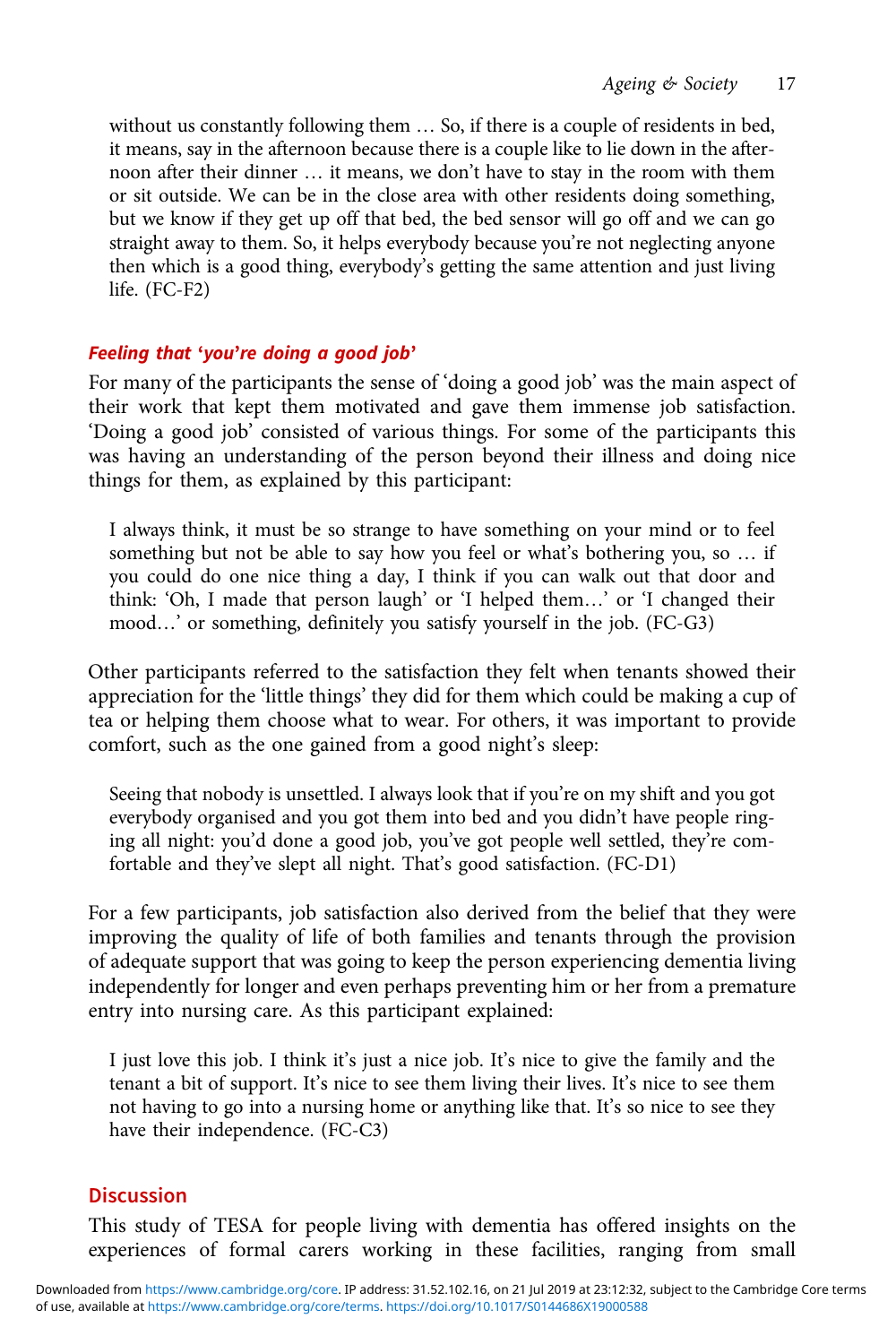without us constantly following them … So, if there is a couple of residents in bed, it means, say in the afternoon because there is a couple like to lie down in the afternoon after their dinner … it means, we don't have to stay in the room with them or sit outside. We can be in the close area with other residents doing something, but we know if they get up off that bed, the bed sensor will go off and we can go straight away to them. So, it helps everybody because you're not neglecting anyone then which is a good thing, everybody's getting the same attention and just living life. (FC-F2)

# Feeling that 'you're doing a good job'

For many of the participants the sense of 'doing a good job' was the main aspect of their work that kept them motivated and gave them immense job satisfaction. 'Doing a good job' consisted of various things. For some of the participants this was having an understanding of the person beyond their illness and doing nice things for them, as explained by this participant:

I always think, it must be so strange to have something on your mind or to feel something but not be able to say how you feel or what's bothering you, so … if you could do one nice thing a day, I think if you can walk out that door and think: 'Oh, I made that person laugh' or 'I helped them…' or 'I changed their mood…' or something, definitely you satisfy yourself in the job. (FC-G3)

Other participants referred to the satisfaction they felt when tenants showed their appreciation for the 'little things' they did for them which could be making a cup of tea or helping them choose what to wear. For others, it was important to provide comfort, such as the one gained from a good night's sleep:

Seeing that nobody is unsettled. I always look that if you're on my shift and you got everybody organised and you got them into bed and you didn't have people ringing all night: you'd done a good job, you've got people well settled, they're comfortable and they've slept all night. That's good satisfaction. (FC-D1)

For a few participants, job satisfaction also derived from the belief that they were improving the quality of life of both families and tenants through the provision of adequate support that was going to keep the person experiencing dementia living independently for longer and even perhaps preventing him or her from a premature entry into nursing care. As this participant explained:

I just love this job. I think it's just a nice job. It's nice to give the family and the tenant a bit of support. It's nice to see them living their lives. It's nice to see them not having to go into a nursing home or anything like that. It's so nice to see they have their independence. (FC-C3)

# **Discussion**

This study of TESA for people living with dementia has offered insights on the experiences of formal carers working in these facilities, ranging from small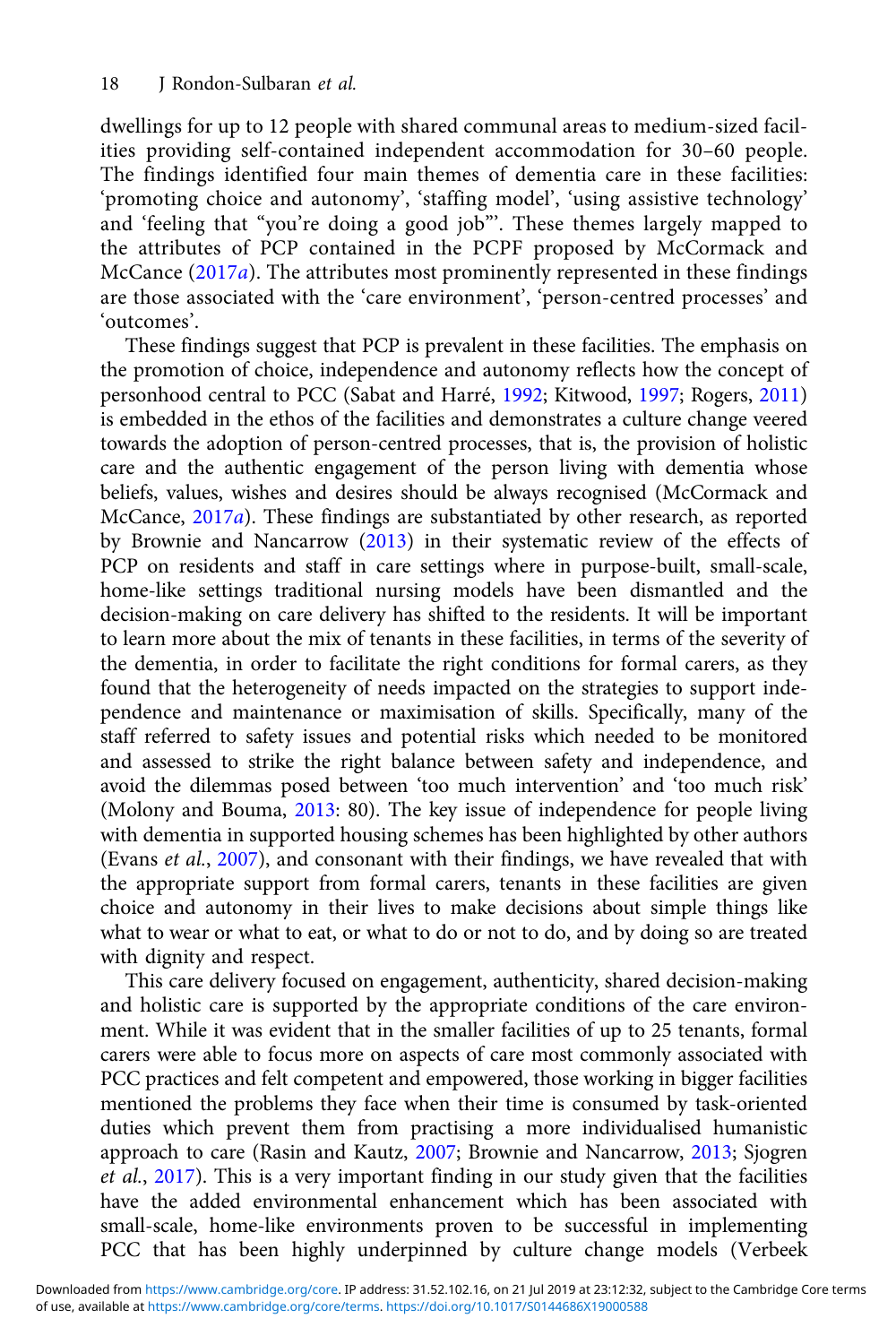dwellings for up to 12 people with shared communal areas to medium-sized facilities providing self-contained independent accommodation for 30–60 people. The findings identified four main themes of dementia care in these facilities: 'promoting choice and autonomy', 'staffing model', 'using assistive technology' and 'feeling that "you're doing a good job"'. These themes largely mapped to the attributes of PCP contained in the PCPF proposed by McCormack and McCance ([2017](#page-21-0)a). The attributes most prominently represented in these findings are those associated with the 'care environment', 'person-centred processes' and 'outcomes'.

These findings suggest that PCP is prevalent in these facilities. The emphasis on the promotion of choice, independence and autonomy reflects how the concept of personhood central to PCC (Sabat and Harré, [1992](#page-21-0); Kitwood, [1997;](#page-20-0) Rogers, [2011\)](#page-21-0) is embedded in the ethos of the facilities and demonstrates a culture change veered towards the adoption of person-centred processes, that is, the provision of holistic care and the authentic engagement of the person living with dementia whose beliefs, values, wishes and desires should be always recognised (McCormack and McCance, [2017](#page-21-0)a). These findings are substantiated by other research, as reported by Brownie and Nancarrow ([2013\)](#page-20-0) in their systematic review of the effects of PCP on residents and staff in care settings where in purpose-built, small-scale, home-like settings traditional nursing models have been dismantled and the decision-making on care delivery has shifted to the residents. It will be important to learn more about the mix of tenants in these facilities, in terms of the severity of the dementia, in order to facilitate the right conditions for formal carers, as they found that the heterogeneity of needs impacted on the strategies to support independence and maintenance or maximisation of skills. Specifically, many of the staff referred to safety issues and potential risks which needed to be monitored and assessed to strike the right balance between safety and independence, and avoid the dilemmas posed between 'too much intervention' and 'too much risk' (Molony and Bouma, [2013](#page-21-0): 80). The key issue of independence for people living with dementia in supported housing schemes has been highlighted by other authors (Evans et al., [2007](#page-20-0)), and consonant with their findings, we have revealed that with the appropriate support from formal carers, tenants in these facilities are given choice and autonomy in their lives to make decisions about simple things like what to wear or what to eat, or what to do or not to do, and by doing so are treated with dignity and respect.

This care delivery focused on engagement, authenticity, shared decision-making and holistic care is supported by the appropriate conditions of the care environment. While it was evident that in the smaller facilities of up to 25 tenants, formal carers were able to focus more on aspects of care most commonly associated with PCC practices and felt competent and empowered, those working in bigger facilities mentioned the problems they face when their time is consumed by task-oriented duties which prevent them from practising a more individualised humanistic approach to care (Rasin and Kautz, [2007](#page-21-0); Brownie and Nancarrow, [2013](#page-20-0); Sjogren et al., [2017\)](#page-21-0). This is a very important finding in our study given that the facilities have the added environmental enhancement which has been associated with small-scale, home-like environments proven to be successful in implementing PCC that has been highly underpinned by culture change models (Verbeek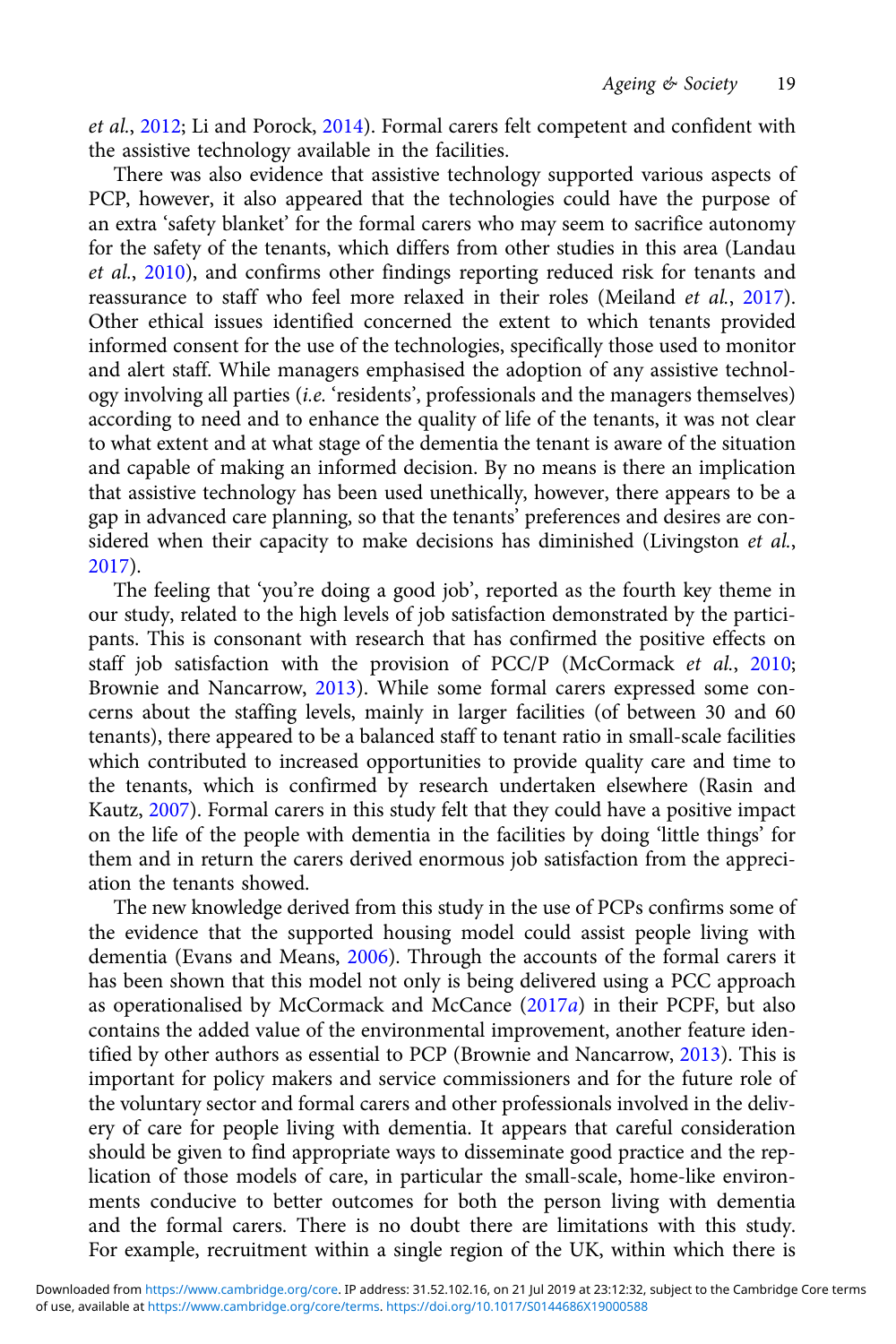et al., [2012](#page-21-0); Li and Porock, [2014\)](#page-20-0). Formal carers felt competent and confident with the assistive technology available in the facilities.

There was also evidence that assistive technology supported various aspects of PCP, however, it also appeared that the technologies could have the purpose of an extra 'safety blanket' for the formal carers who may seem to sacrifice autonomy for the safety of the tenants, which differs from other studies in this area (Landau et al., [2010](#page-20-0)), and confirms other findings reporting reduced risk for tenants and reassurance to staff who feel more relaxed in their roles (Meiland *et al.*, [2017\)](#page-21-0). Other ethical issues identified concerned the extent to which tenants provided informed consent for the use of the technologies, specifically those used to monitor and alert staff. While managers emphasised the adoption of any assistive technology involving all parties (i.e. 'residents', professionals and the managers themselves) according to need and to enhance the quality of life of the tenants, it was not clear to what extent and at what stage of the dementia the tenant is aware of the situation and capable of making an informed decision. By no means is there an implication that assistive technology has been used unethically, however, there appears to be a gap in advanced care planning, so that the tenants' preferences and desires are considered when their capacity to make decisions has diminished (Livingston et al., [2017](#page-20-0)).

The feeling that 'you're doing a good job', reported as the fourth key theme in our study, related to the high levels of job satisfaction demonstrated by the participants. This is consonant with research that has confirmed the positive effects on staff job satisfaction with the provision of PCC/P (McCormack et al., [2010](#page-21-0); Brownie and Nancarrow, [2013](#page-20-0)). While some formal carers expressed some concerns about the staffing levels, mainly in larger facilities (of between 30 and 60 tenants), there appeared to be a balanced staff to tenant ratio in small-scale facilities which contributed to increased opportunities to provide quality care and time to the tenants, which is confirmed by research undertaken elsewhere (Rasin and Kautz, [2007](#page-21-0)). Formal carers in this study felt that they could have a positive impact on the life of the people with dementia in the facilities by doing 'little things' for them and in return the carers derived enormous job satisfaction from the appreciation the tenants showed.

The new knowledge derived from this study in the use of PCPs confirms some of the evidence that the supported housing model could assist people living with dementia (Evans and Means, [2006\)](#page-20-0). Through the accounts of the formal carers it has been shown that this model not only is being delivered using a PCC approach as operationalised by McCormack and McCance  $(2017a)$  $(2017a)$  in their PCPF, but also contains the added value of the environmental improvement, another feature identified by other authors as essential to PCP (Brownie and Nancarrow, [2013\)](#page-20-0). This is important for policy makers and service commissioners and for the future role of the voluntary sector and formal carers and other professionals involved in the delivery of care for people living with dementia. It appears that careful consideration should be given to find appropriate ways to disseminate good practice and the replication of those models of care, in particular the small-scale, home-like environments conducive to better outcomes for both the person living with dementia and the formal carers. There is no doubt there are limitations with this study. For example, recruitment within a single region of the UK, within which there is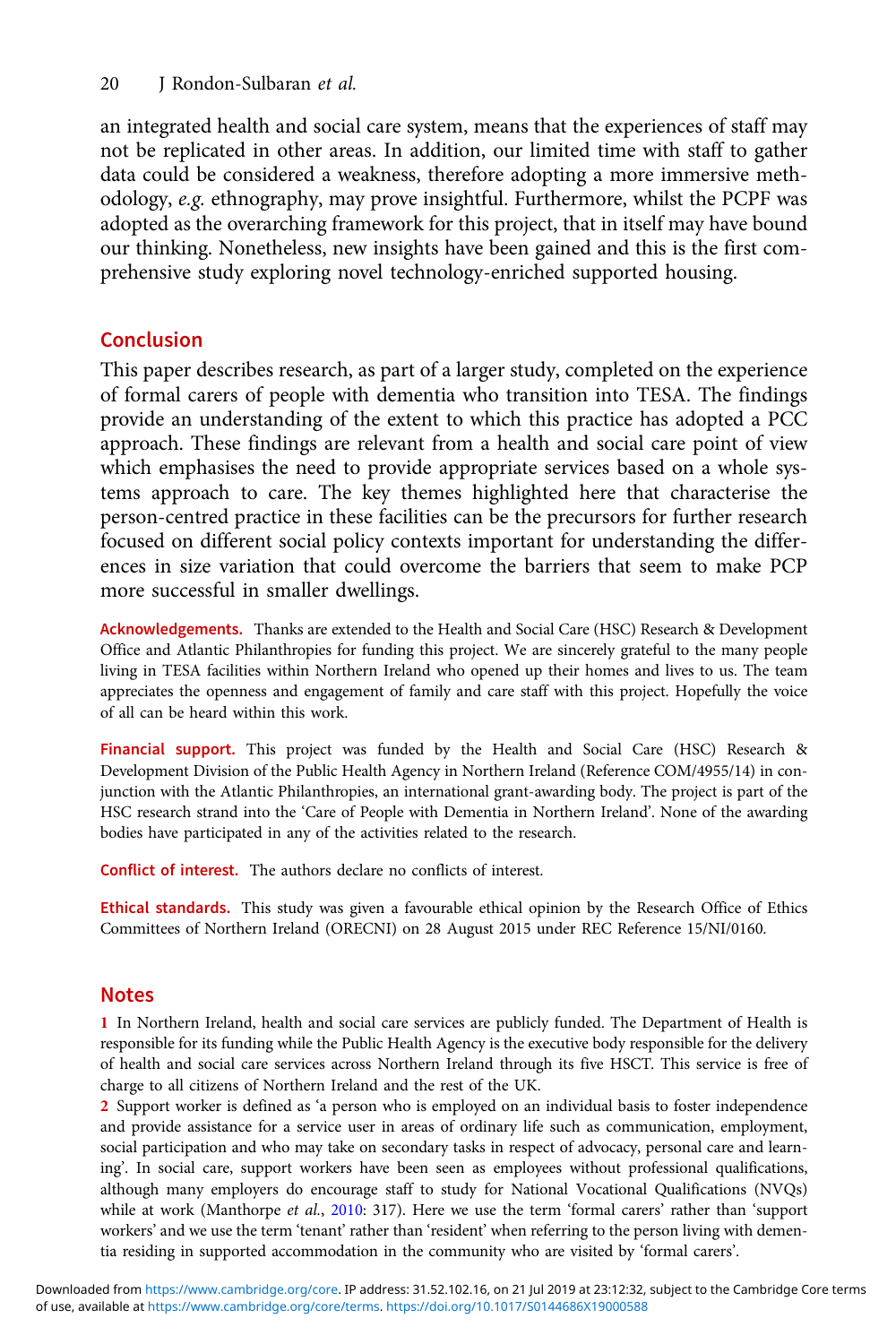<span id="page-19-0"></span>an integrated health and social care system, means that the experiences of staff may not be replicated in other areas. In addition, our limited time with staff to gather data could be considered a weakness, therefore adopting a more immersive methodology, e.g. ethnography, may prove insightful. Furthermore, whilst the PCPF was adopted as the overarching framework for this project, that in itself may have bound our thinking. Nonetheless, new insights have been gained and this is the first comprehensive study exploring novel technology-enriched supported housing.

# Conclusion

This paper describes research, as part of a larger study, completed on the experience of formal carers of people with dementia who transition into TESA. The findings provide an understanding of the extent to which this practice has adopted a PCC approach. These findings are relevant from a health and social care point of view which emphasises the need to provide appropriate services based on a whole systems approach to care. The key themes highlighted here that characterise the person-centred practice in these facilities can be the precursors for further research focused on different social policy contexts important for understanding the differences in size variation that could overcome the barriers that seem to make PCP more successful in smaller dwellings.

Acknowledgements. Thanks are extended to the Health and Social Care (HSC) Research & Development Office and Atlantic Philanthropies for funding this project. We are sincerely grateful to the many people living in TESA facilities within Northern Ireland who opened up their homes and lives to us. The team appreciates the openness and engagement of family and care staff with this project. Hopefully the voice of all can be heard within this work.

Financial support. This project was funded by the Health and Social Care (HSC) Research & Development Division of the Public Health Agency in Northern Ireland (Reference COM/4955/14) in conjunction with the Atlantic Philanthropies, an international grant-awarding body. The project is part of the HSC research strand into the 'Care of People with Dementia in Northern Ireland'. None of the awarding bodies have participated in any of the activities related to the research.

Conflict of interest. The authors declare no conflicts of interest.

Ethical standards. This study was given a favourable ethical opinion by the Research Office of Ethics Committees of Northern Ireland (ORECNI) on 28 August 2015 under REC Reference 15/NI/0160.

# Notes

1 In Northern Ireland, health and social care services are publicly funded. The Department of Health is responsible for its funding while the Public Health Agency is the executive body responsible for the delivery of health and social care services across Northern Ireland through its five HSCT. This service is free of charge to all citizens of Northern Ireland and the rest of the UK.

2 Support worker is defined as 'a person who is employed on an individual basis to foster independence and provide assistance for a service user in areas of ordinary life such as communication, employment, social participation and who may take on secondary tasks in respect of advocacy, personal care and learning'. In social care, support workers have been seen as employees without professional qualifications, although many employers do encourage staff to study for National Vocational Qualifications (NVQs) while at work (Manthorpe et al., [2010](#page-21-0): 317). Here we use the term 'formal carers' rather than 'support workers' and we use the term 'tenant' rather than 'resident' when referring to the person living with dementia residing in supported accommodation in the community who are visited by 'formal carers'.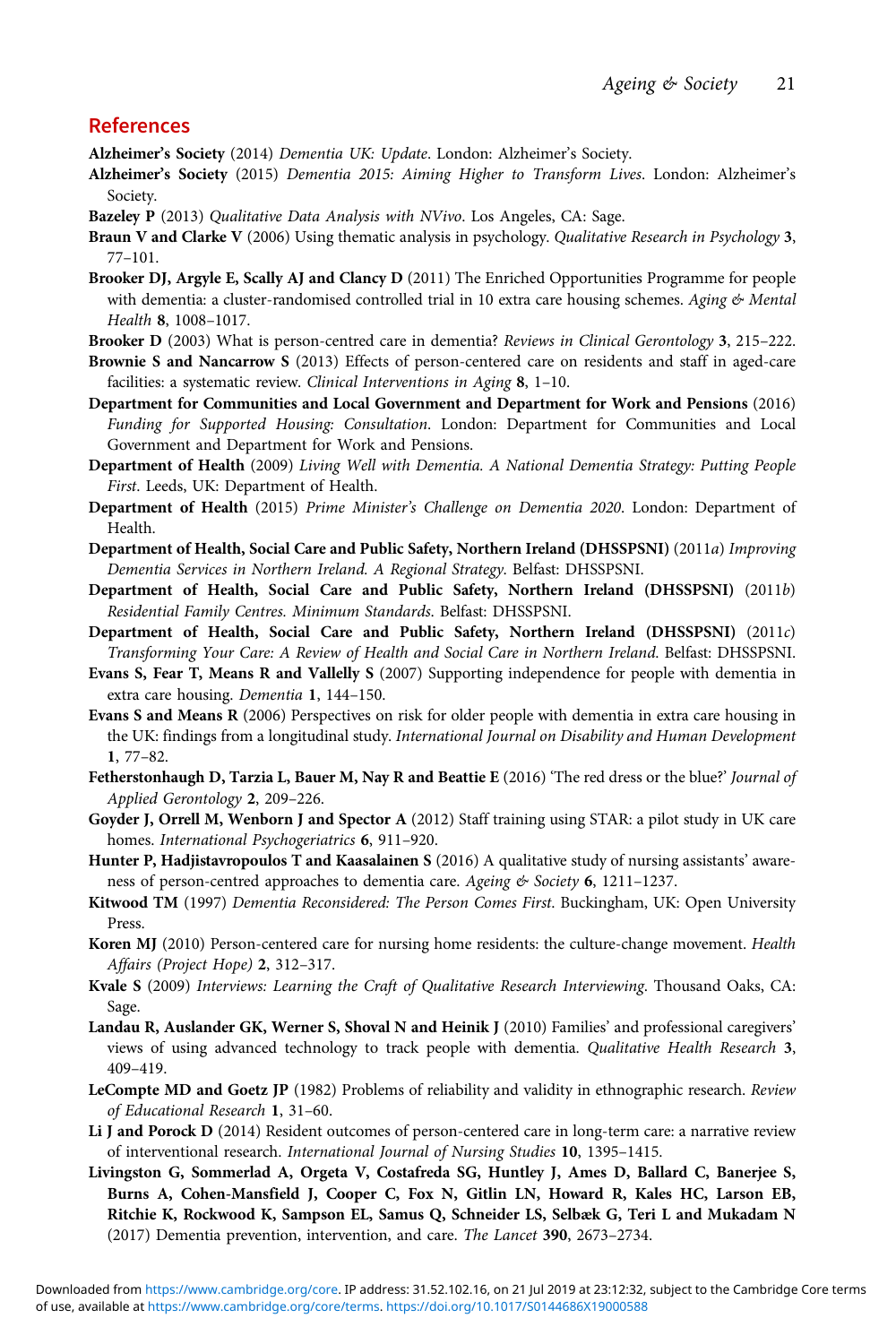# <span id="page-20-0"></span>References

Alzheimer's Society (2014) Dementia UK: Update. London: Alzheimer's Society.

- Alzheimer's Society (2015) Dementia 2015: Aiming Higher to Transform Lives. London: Alzheimer's Society.
- Bazeley P (2013) Qualitative Data Analysis with NVivo. Los Angeles, CA: Sage.
- Braun V and Clarke V (2006) Using thematic analysis in psychology. Qualitative Research in Psychology 3, 77–101.
- Brooker DJ, Argyle E, Scally AJ and Clancy D (2011) The Enriched Opportunities Programme for people with dementia: a cluster-randomised controlled trial in 10 extra care housing schemes. Aging & Mental Health 8, 1008–1017.
- Brooker D (2003) What is person-centred care in dementia? Reviews in Clinical Gerontology 3, 215–222.
- Brownie S and Nancarrow S (2013) Effects of person-centered care on residents and staff in aged-care facilities: a systematic review. Clinical Interventions in Aging 8, 1–10.
- Department for Communities and Local Government and Department for Work and Pensions (2016) Funding for Supported Housing: Consultation. London: Department for Communities and Local Government and Department for Work and Pensions.
- Department of Health (2009) Living Well with Dementia. A National Dementia Strategy: Putting People First. Leeds, UK: Department of Health.
- Department of Health (2015) Prime Minister's Challenge on Dementia 2020. London: Department of Health.
- Department of Health, Social Care and Public Safety, Northern Ireland (DHSSPSNI) (2011a) Improving Dementia Services in Northern Ireland. A Regional Strategy. Belfast: DHSSPSNI.
- Department of Health, Social Care and Public Safety, Northern Ireland (DHSSPSNI) (2011b) Residential Family Centres. Minimum Standards. Belfast: DHSSPSNI.
- Department of Health, Social Care and Public Safety, Northern Ireland (DHSSPSNI) (2011c) Transforming Your Care: A Review of Health and Social Care in Northern Ireland. Belfast: DHSSPSNI.
- Evans S, Fear T, Means R and Vallelly S (2007) Supporting independence for people with dementia in extra care housing. Dementia 1, 144–150.
- Evans S and Means R (2006) Perspectives on risk for older people with dementia in extra care housing in the UK: findings from a longitudinal study. International Journal on Disability and Human Development 1, 77–82.
- Fetherstonhaugh D, Tarzia L, Bauer M, Nay R and Beattie E (2016) 'The red dress or the blue?' Journal of Applied Gerontology 2, 209–226.
- Goyder J, Orrell M, Wenborn J and Spector A (2012) Staff training using STAR: a pilot study in UK care homes. International Psychogeriatrics 6, 911–920.
- Hunter P, Hadjistavropoulos T and Kaasalainen S (2016) A qualitative study of nursing assistants' awareness of person-centred approaches to dementia care. Ageing & Society 6, 1211-1237.
- Kitwood TM (1997) Dementia Reconsidered: The Person Comes First. Buckingham, UK: Open University Press.
- Koren MJ (2010) Person-centered care for nursing home residents: the culture-change movement. Health Affairs (Project Hope) 2, 312–317.
- Kvale S (2009) Interviews: Learning the Craft of Qualitative Research Interviewing. Thousand Oaks, CA: Sage.
- Landau R, Auslander GK, Werner S, Shoval N and Heinik J (2010) Families' and professional caregivers' views of using advanced technology to track people with dementia. Qualitative Health Research 3, 409–419.
- LeCompte MD and Goetz JP (1982) Problems of reliability and validity in ethnographic research. Review of Educational Research 1, 31–60.
- Li J and Porock D (2014) Resident outcomes of person-centered care in long-term care: a narrative review of interventional research. International Journal of Nursing Studies 10, 1395–1415.
- Livingston G, Sommerlad A, Orgeta V, Costafreda SG, Huntley J, Ames D, Ballard C, Banerjee S, Burns A, Cohen-Mansfield J, Cooper C, Fox N, Gitlin LN, Howard R, Kales HC, Larson EB, Ritchie K, Rockwood K, Sampson EL, Samus Q, Schneider LS, Selbæk G, Teri L and Mukadam N (2017) Dementia prevention, intervention, and care. The Lancet 390, 2673–2734.